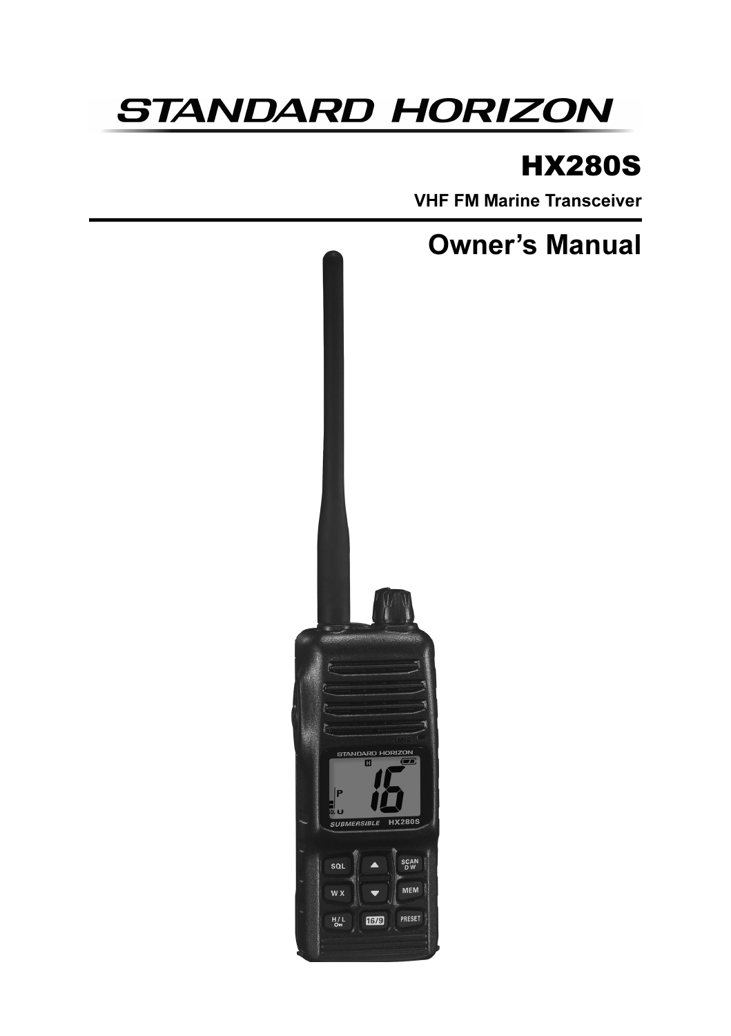# **STANDARD HORIZON**

# HX280S

VHF FM Marine Transceiver



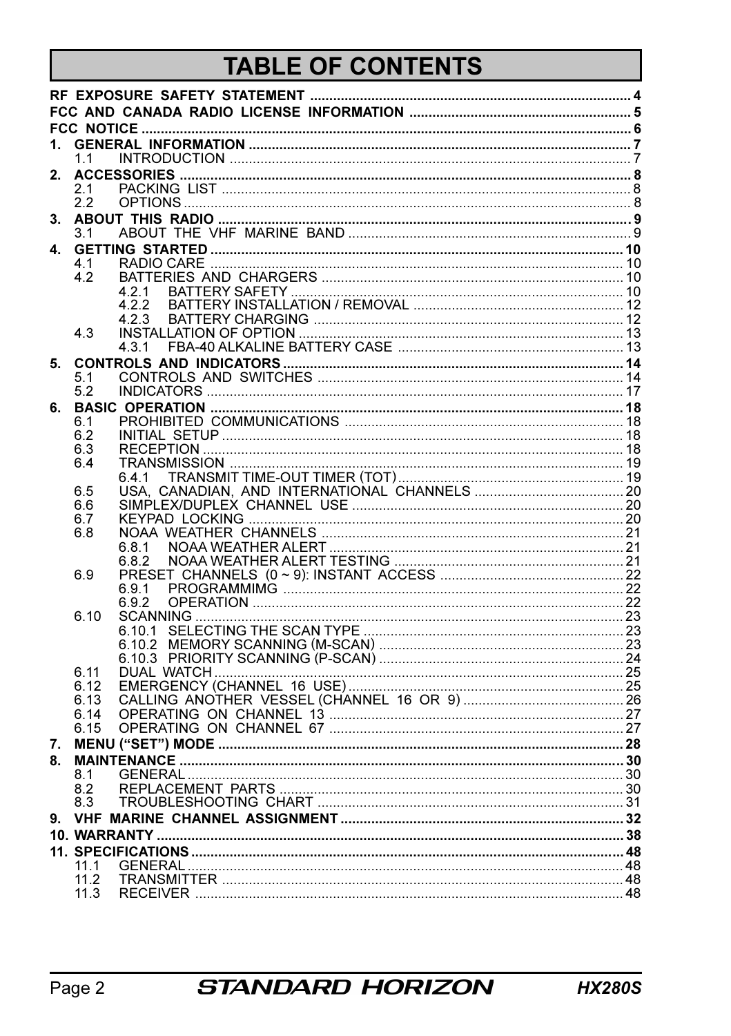# TABLE OF CONTENTS

| 1. |              |        |  |
|----|--------------|--------|--|
|    | 1.1          |        |  |
| 2. |              |        |  |
|    | 2.1          |        |  |
|    | 22           |        |  |
|    |              |        |  |
|    | 3.1          |        |  |
| 4. |              |        |  |
|    | 4.1          |        |  |
|    | 4.2          |        |  |
|    |              | 4.2.1  |  |
|    |              | 4.2.2  |  |
|    |              | 4.2.3  |  |
|    | 43           |        |  |
|    |              |        |  |
| 5. |              |        |  |
|    | 5.1          |        |  |
|    | 5.2          |        |  |
| 6. |              |        |  |
|    | 6.1          |        |  |
|    | 6.2          |        |  |
|    | 6.3          |        |  |
|    | 6.4          |        |  |
|    | 6.5          | 641    |  |
|    | 6.6          |        |  |
|    | 6.7          |        |  |
|    | 6.8          |        |  |
|    |              | 6.8.1  |  |
|    |              | 6.8.2  |  |
|    | 6.9          |        |  |
|    |              | 6.9.1  |  |
|    |              | 692    |  |
|    | 6.10         |        |  |
|    |              | 6.10.1 |  |
|    |              | 6.10.2 |  |
|    |              | 6.10.3 |  |
|    | 6.11         |        |  |
|    | 6.12<br>6.13 |        |  |
|    | 6.14         |        |  |
|    | 6.15         |        |  |
|    |              |        |  |
| 7. |              |        |  |
| 8. | 8.1          |        |  |
|    | 8.2          |        |  |
|    | 8.3          |        |  |
| 9. |              |        |  |
|    |              |        |  |
|    |              |        |  |
|    |              |        |  |
|    | 11.1<br>11.2 |        |  |
|    | 11.3         |        |  |
|    |              |        |  |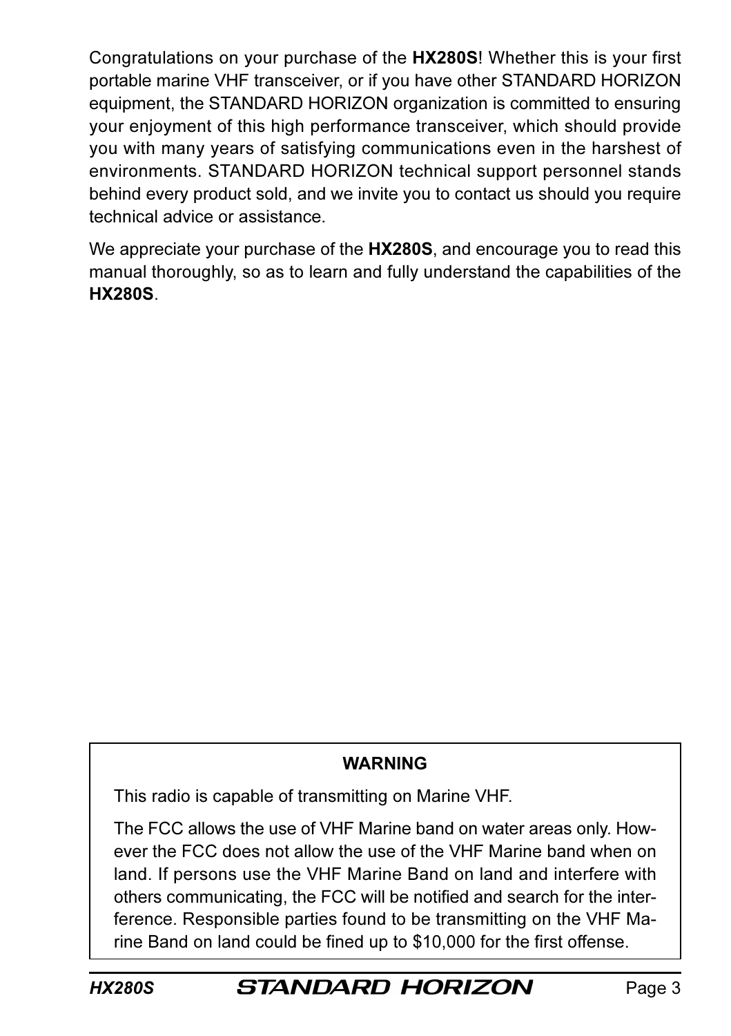Congratulations on your purchase of the HX280S! Whether this is your first portable marine VHF transceiver, or if you have other STANDARD HORIZON equipment, the STANDARD HORIZON organization is committed to ensuring your enjoyment of this high performance transceiver, which should provide you with many years of satisfying communications even in the harshest of environments. STANDARD HORIZON technical support personnel stands behind every product sold, and we invite you to contact us should you require technical advice or assistance.

We appreciate your purchase of the HX280S, and encourage you to read this manual thoroughly, so as to learn and fully understand the capabilities of the HX280S.

#### **WARNING**

This radio is capable of transmitting on Marine VHF.

The FCC allows the use of VHF Marine band on water areas only. However the FCC does not allow the use of the VHF Marine band when on land. If persons use the VHF Marine Band on land and interfere with others communicating, the FCC will be notified and search for the interference. Responsible parties found to be transmitting on the VHF Marine Band on land could be fined up to \$10,000 for the first offense.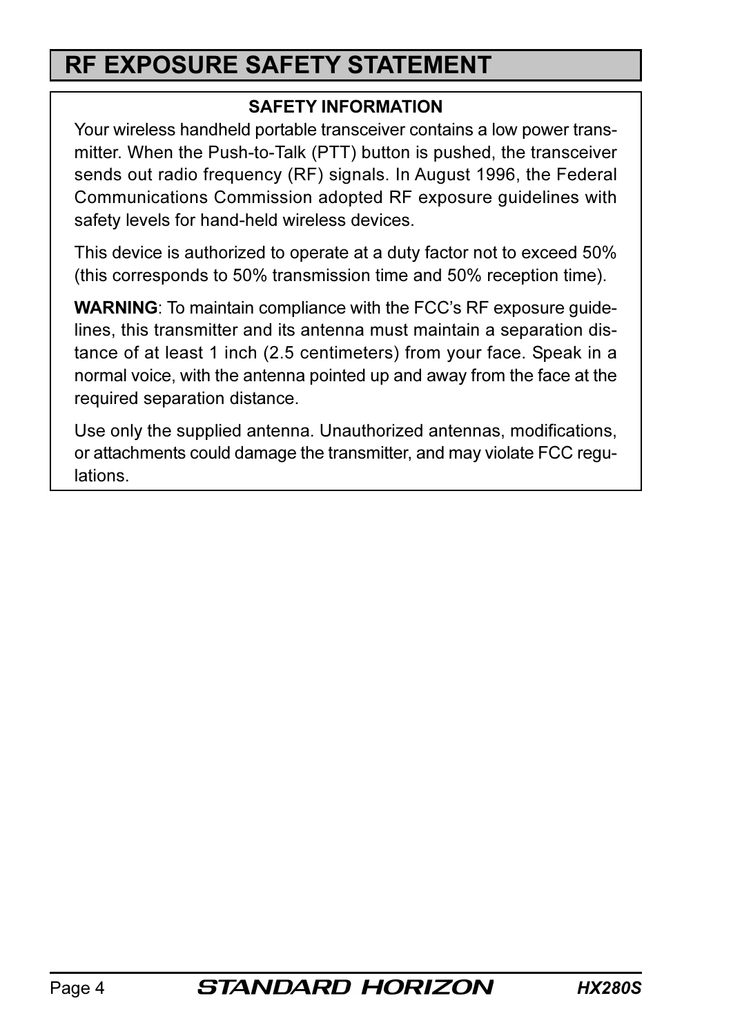# RF EXPOSURE SAFETY STATEMENT

#### SAFETY INFORMATION

Your wireless handheld portable transceiver contains a low power transmitter. When the Push-to-Talk (PTT) button is pushed, the transceiver sends out radio frequency (RF) signals. In August 1996, the Federal Communications Commission adopted RF exposure guidelines with safety levels for hand-held wireless devices.

This device is authorized to operate at a duty factor not to exceed 50% (this corresponds to 50% transmission time and 50% reception time).

WARNING: To maintain compliance with the FCC's RF exposure guidelines, this transmitter and its antenna must maintain a separation distance of at least 1 inch (2.5 centimeters) from your face. Speak in a normal voice, with the antenna pointed up and away from the face at the required separation distance.

Use only the supplied antenna. Unauthorized antennas, modifications, or attachments could damage the transmitter, and may violate FCC regulations.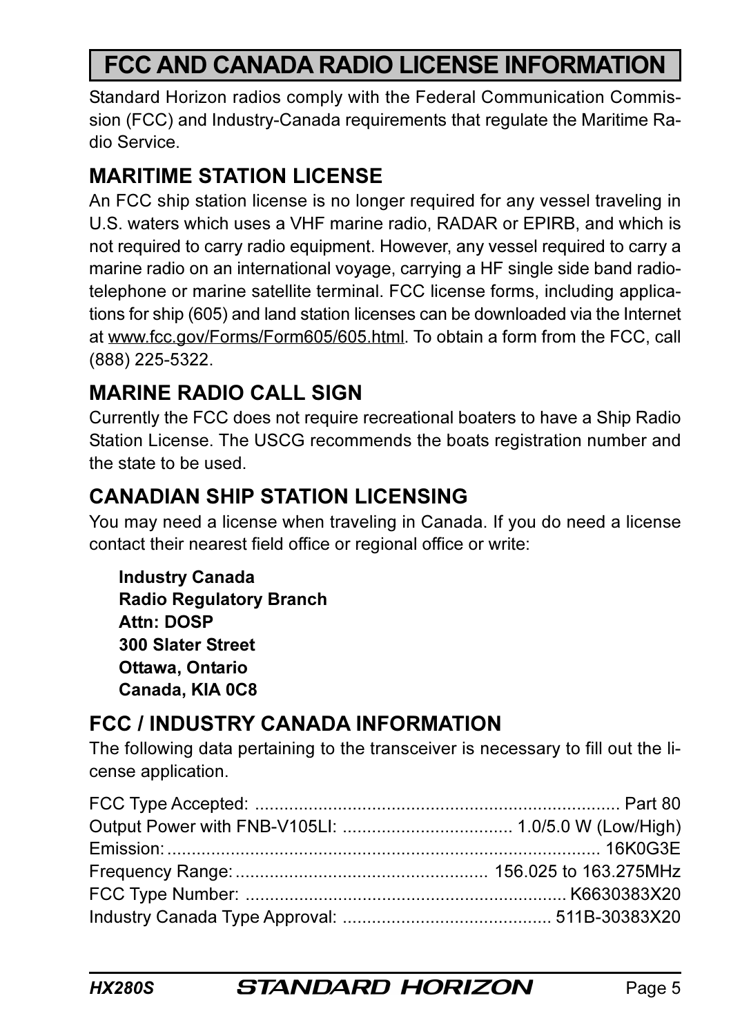# FCC AND CANADA RADIO LICENSE INFORMATION

Standard Horizon radios comply with the Federal Communication Commission (FCC) and Industry-Canada requirements that regulate the Maritime Radio Service.

## MARITIME STATION LICENSE

An FCC ship station license is no longer required for any vessel traveling in U.S. waters which uses a VHF marine radio, RADAR or EPIRB, and which is not required to carry radio equipment. However, any vessel required to carry a marine radio on an international voyage, carrying a HF single side band radiotelephone or marine satellite terminal. FCC license forms, including applications for ship (605) and land station licenses can be downloaded via the Internet at www.fcc.gov/Forms/Form605/605.html. To obtain a form from the FCC, call (888) 225-5322.

## MARINE RADIO CALL SIGN

Currently the FCC does not require recreational boaters to have a Ship Radio Station License. The USCG recommends the boats registration number and the state to be used.

## CANADIAN SHIP STATION LICENSING

You may need a license when traveling in Canada. If you do need a license contact their nearest field office or regional office or write:

Industry Canada Radio Regulatory Branch Attn: DOSP 300 Slater Street Ottawa, Ontario Canada, KIA 0C8

## FCC / INDUSTRY CANADA INFORMATION

The following data pertaining to the transceiver is necessary to fill out the license application.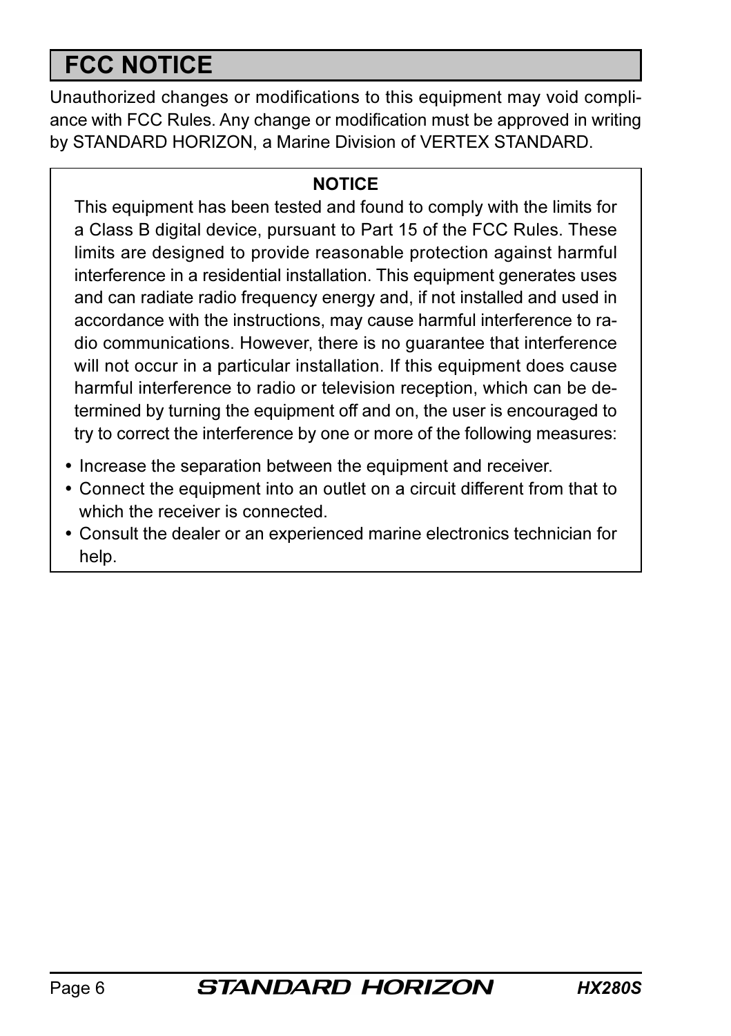# FCC NOTICE

Unauthorized changes or modifications to this equipment may void compliance with FCC Rules. Any change or modification must be approved in writing by STANDARD HORIZON, a Marine Division of VERTEX STANDARD.

#### **NOTICE**

This equipment has been tested and found to comply with the limits for a Class B digital device, pursuant to Part 15 of the FCC Rules. These limits are designed to provide reasonable protection against harmful interference in a residential installation. This equipment generates uses and can radiate radio frequency energy and, if not installed and used in accordance with the instructions, may cause harmful interference to radio communications. However, there is no guarantee that interference will not occur in a particular installation. If this equipment does cause harmful interference to radio or television reception, which can be determined by turning the equipment off and on, the user is encouraged to try to correct the interference by one or more of the following measures:

- Increase the separation between the equipment and receiver.
- Connect the equipment into an outlet on a circuit different from that to which the receiver is connected.
- Consult the dealer or an experienced marine electronics technician for help.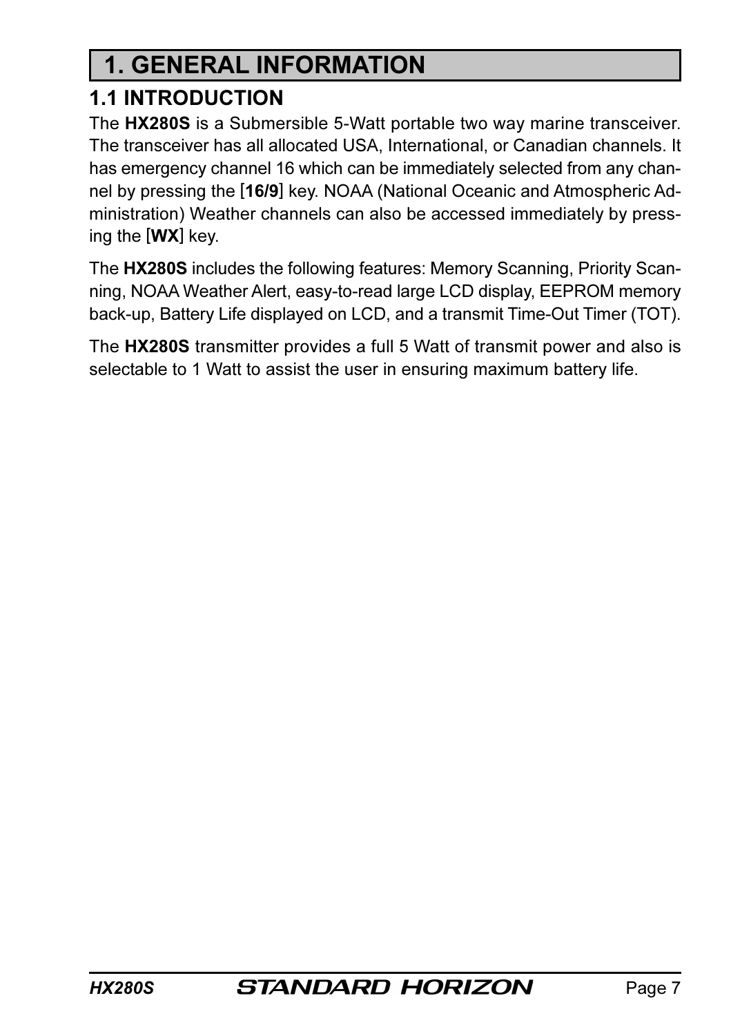# 1. GENERAL INFORMATION

## 1.1 INTRODUCTION

The HX280S is a Submersible 5-Watt portable two way marine transceiver. The transceiver has all allocated USA, International, or Canadian channels. It has emergency channel 16 which can be immediately selected from any channel by pressing the [16/9] key. NOAA (National Oceanic and Atmospheric Administration) Weather channels can also be accessed immediately by pressing the [WX] key.

The HX280S includes the following features: Memory Scanning, Priority Scanning, NOAA Weather Alert, easy-to-read large LCD display, EEPROM memory back-up, Battery Life displayed on LCD, and a transmit Time-Out Timer (TOT).

The HX280S transmitter provides a full 5 Watt of transmit power and also is selectable to 1 Watt to assist the user in ensuring maximum battery life.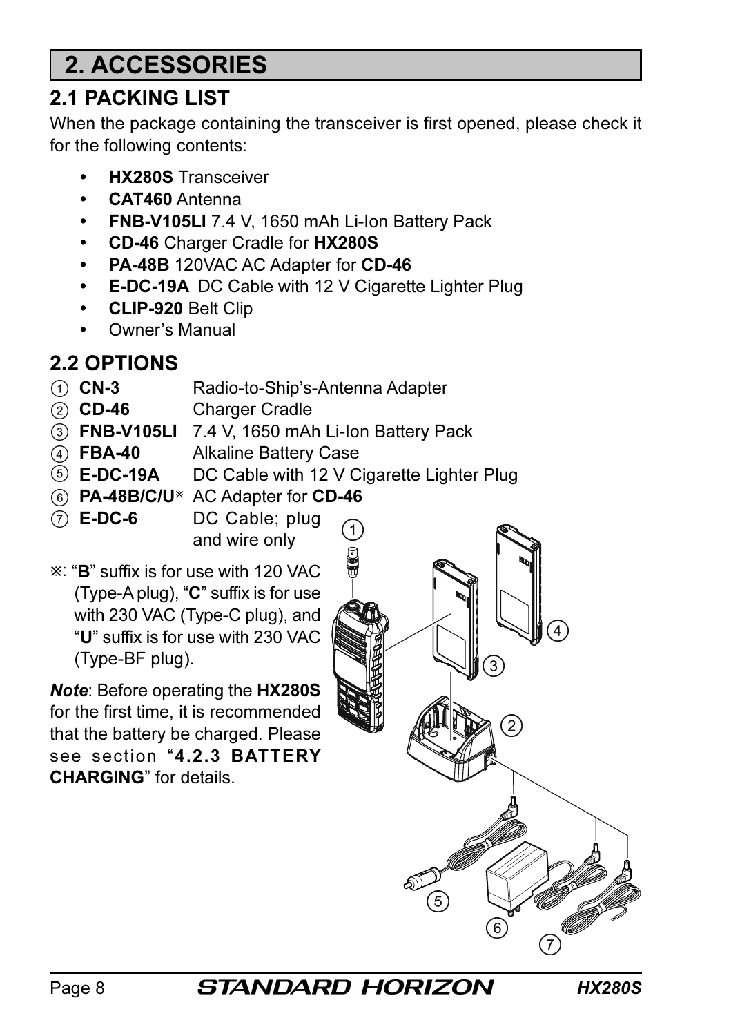# 2. ACCESSORIES

## 2.1 PACKING LIST

When the package containing the transceiver is first opened, please check it for the following contents:

- HX280S Transceiver
- CAT460 Antenna
- FNB-V105LI 7.4 V, 1650 mAh Li-Ion Battery Pack
- CD-46 Charger Cradle for HX280S
- PA-48B 120VAC AC Adapter for CD-46
- E-DC-19A DC Cable with 12 V Cigarette Lighter Plug
- CLIP-920 Belt Clip
- Owner's Manual

## 2.2 OPTIONS

- CN-3 Radio-to-Ship's-Antenna Adapter
- CD-46 Charger Cradle
- FNB-V105LI 7.4 V, 1650 mAh Li-Ion Battery Pack
- FBA-40 Alkaline Battery Case
- **E-DC-19A** DC Cable with 12 V Cigarette Lighter Plug
- 6 PA-48B/C/U<sup>\*</sup> AC Adapter for CD-46
- $(7)$  **E-DC-6** DC Cable; plug and wire only

: "B" suffix is for use with 120 VAC (Type-A plug), "C" suffix is for use with 230 VAC (Type-C plug), and "U" suffix is for use with 230 VAC (Type-BF plug).

Note: Before operating the HX280S for the first time, it is recommended that the battery be charged. Please see section "4.2.3 BATTERY CHARGING" for details.



Page 8 **STANDARD HORIZON** HX280S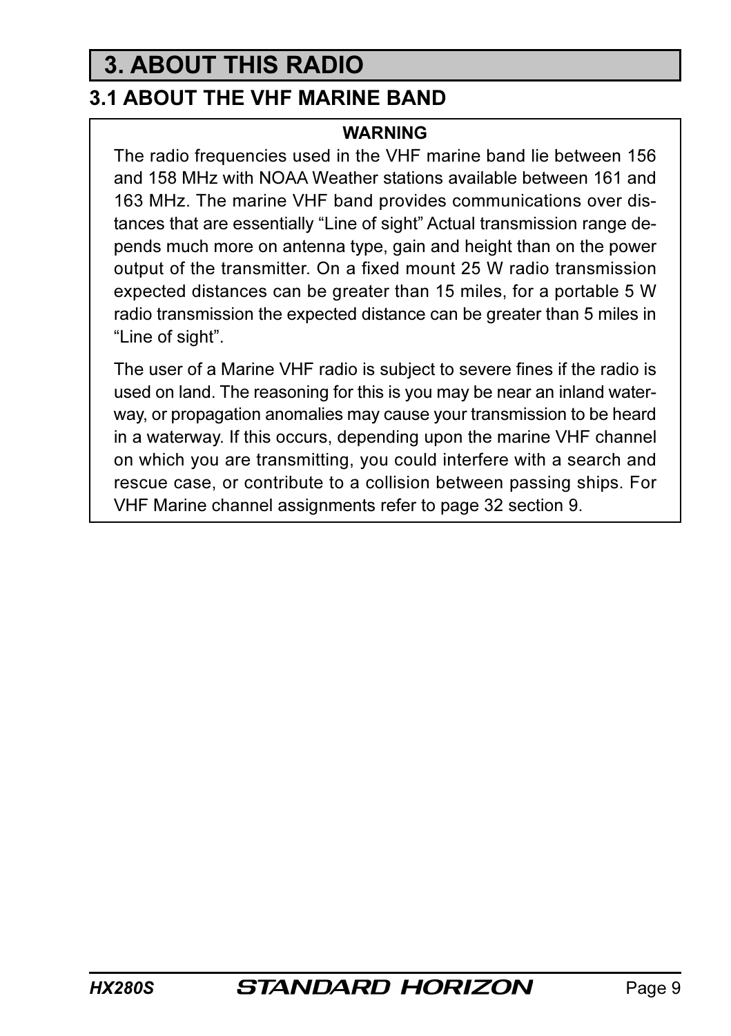# 3. ABOUT THIS RADIO

## 3.1 ABOUT THE VHF MARINE BAND

#### **WARNING**

The radio frequencies used in the VHF marine band lie between 156 and 158 MHz with NOAA Weather stations available between 161 and 163 MHz. The marine VHF band provides communications over distances that are essentially "Line of sight" Actual transmission range depends much more on antenna type, gain and height than on the power output of the transmitter. On a fixed mount 25 W radio transmission expected distances can be greater than 15 miles, for a portable 5 W radio transmission the expected distance can be greater than 5 miles in "Line of sight".

The user of a Marine VHF radio is subject to severe fines if the radio is used on land. The reasoning for this is you may be near an inland waterway, or propagation anomalies may cause your transmission to be heard in a waterway. If this occurs, depending upon the marine VHF channel on which you are transmitting, you could interfere with a search and rescue case, or contribute to a collision between passing ships. For VHF Marine channel assignments refer to page 32 section 9.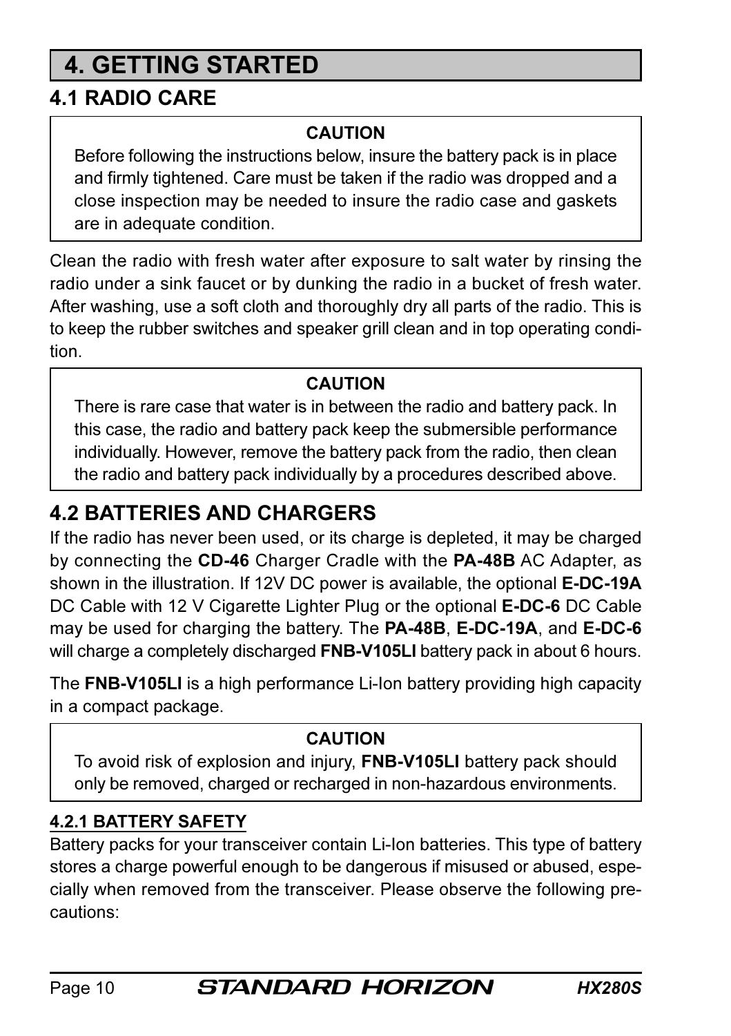# 4. GETTING STARTED

## 4.1 RADIO CARE

#### CAUTION

Before following the instructions below, insure the battery pack is in place and firmly tightened. Care must be taken if the radio was dropped and a close inspection may be needed to insure the radio case and gaskets are in adequate condition.

Clean the radio with fresh water after exposure to salt water by rinsing the radio under a sink faucet or by dunking the radio in a bucket of fresh water. After washing, use a soft cloth and thoroughly dry all parts of the radio. This is to keep the rubber switches and speaker grill clean and in top operating condition.

#### CAUTION

There is rare case that water is in between the radio and battery pack. In this case, the radio and battery pack keep the submersible performance individually. However, remove the battery pack from the radio, then clean the radio and battery pack individually by a procedures described above.

## 4.2 BATTERIES AND CHARGERS

If the radio has never been used, or its charge is depleted, it may be charged by connecting the CD-46 Charger Cradle with the PA-48B AC Adapter, as shown in the illustration. If 12V DC power is available, the optional **E-DC-19A** DC Cable with 12 V Cigarette Lighter Plug or the optional **E-DC-6** DC Cable may be used for charging the battery. The PA-48B, E-DC-19A, and E-DC-6 will charge a completely discharged **FNB-V105LI** battery pack in about 6 hours.

The FNB-V105LI is a high performance Li-Ion battery providing high capacity in a compact package.

#### CAUTION

To avoid risk of explosion and injury, FNB-V105LI battery pack should only be removed, charged or recharged in non-hazardous environments.

## 4.2.1 BATTERY SAFETY

Battery packs for your transceiver contain Li-Ion batteries. This type of battery stores a charge powerful enough to be dangerous if misused or abused, especially when removed from the transceiver. Please observe the following precautions: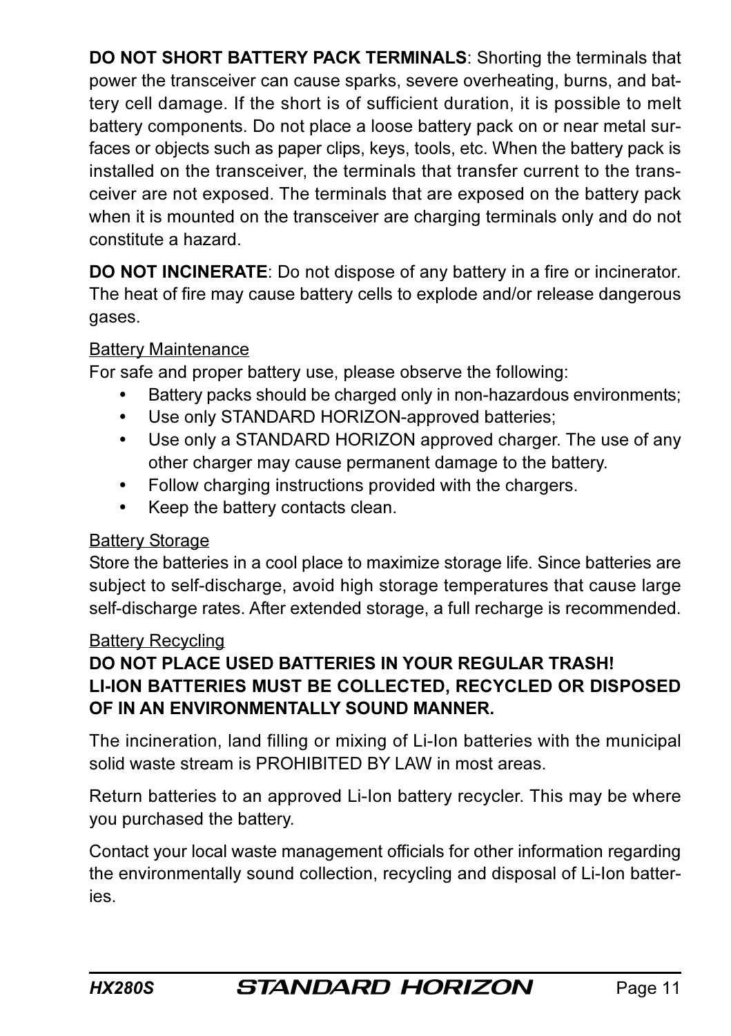DO NOT SHORT BATTERY PACK TERMINALS: Shorting the terminals that power the transceiver can cause sparks, severe overheating, burns, and battery cell damage. If the short is of sufficient duration, it is possible to melt battery components. Do not place a loose battery pack on or near metal surfaces or objects such as paper clips, keys, tools, etc. When the battery pack is installed on the transceiver, the terminals that transfer current to the transceiver are not exposed. The terminals that are exposed on the battery pack when it is mounted on the transceiver are charging terminals only and do not constitute a hazard.

DO NOT INCINERATE: Do not dispose of any battery in a fire or incinerator. The heat of fire may cause battery cells to explode and/or release dangerous gases.

#### Battery Maintenance

For safe and proper battery use, please observe the following:

- Battery packs should be charged only in non-hazardous environments;
- Use only STANDARD HORIZON-approved batteries;
- Use only a STANDARD HORIZON approved charger. The use of any other charger may cause permanent damage to the battery.
- Follow charging instructions provided with the chargers.
- Keep the battery contacts clean.

#### **Battery Storage**

Store the batteries in a cool place to maximize storage life. Since batteries are subject to self-discharge, avoid high storage temperatures that cause large self-discharge rates. After extended storage, a full recharge is recommended.

#### Battery Recycling

#### DO NOT PLACE USED BATTERIES IN YOUR REGULAR TRASH! LI-ION BATTERIES MUST BE COLLECTED, RECYCLED OR DISPOSED OF IN AN ENVIRONMENTALLY SOUND MANNER.

The incineration, land filling or mixing of Li-Ion batteries with the municipal solid waste stream is PROHIBITED BY LAW in most areas.

Return batteries to an approved Li-Ion battery recycler. This may be where you purchased the battery.

Contact your local waste management officials for other information regarding the environmentally sound collection, recycling and disposal of Li-Ion batteries.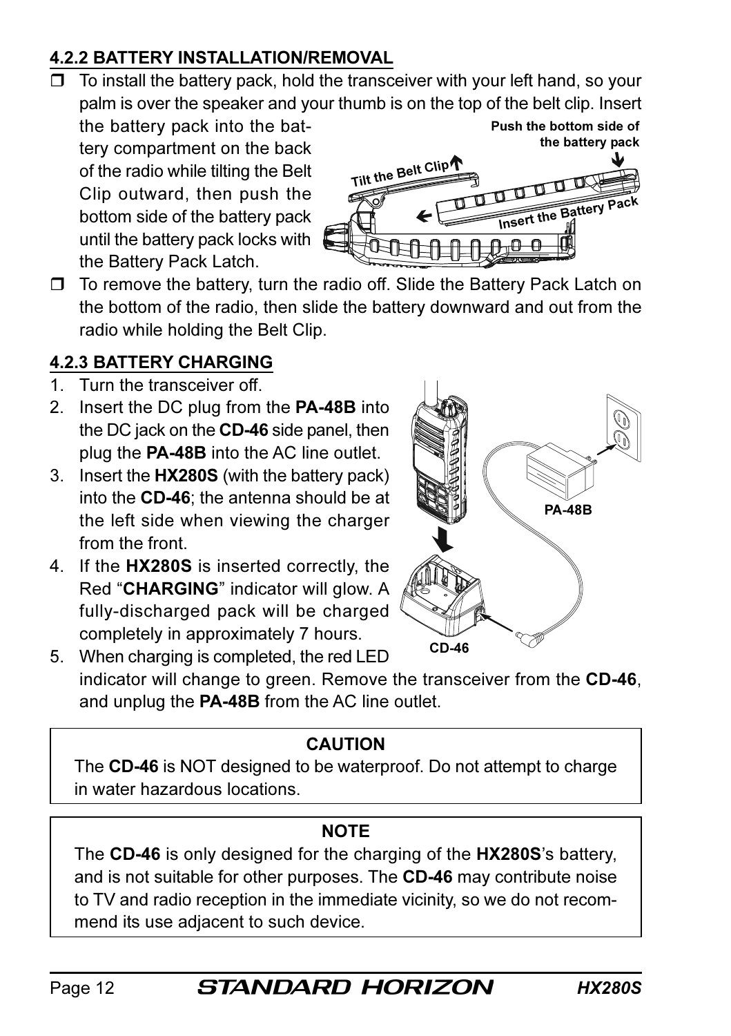#### 4.2.2 BATTERY INSTALLATION/REMOVAL

 $\Box$  To install the battery pack, hold the transceiver with your left hand, so your palm is over the speaker and your thumb is on the top of the belt clip. Insert

the battery pack into the battery compartment on the back of the radio while tilting the Belt Clip outward, then push the bottom side of the battery pack until the battery pack locks with the Battery Pack Latch.



Push the bottom side of

□ To remove the battery, turn the radio off. Slide the Battery Pack Latch on the bottom of the radio, then slide the battery downward and out from the radio while holding the Belt Clip.

## 4.2.3 BATTERY CHARGING

- 1. Turn the transceiver off.
- 2. Insert the DC plug from the PA-48B into the DC jack on the CD-46 side panel, then plug the PA-48B into the AC line outlet.
- 3. Insert the HX280S (with the battery pack) into the CD-46; the antenna should be at the left side when viewing the charger from the front.
- 4. If the HX280S is inserted correctly, the Red "CHARGING" indicator will glow. A fully-discharged pack will be charged completely in approximately 7 hours.
- PA-48B  $CD$

5. When charging is completed, the red LED indicator will change to green. Remove the transceiver from the CD-46, and unplug the PA-48B from the AC line outlet.

## CAUTION

The CD-46 is NOT designed to be waterproof. Do not attempt to charge in water hazardous locations.

#### **NOTE**

The CD-46 is only designed for the charging of the HX280S's battery, and is not suitable for other purposes. The CD-46 may contribute noise to TV and radio reception in the immediate vicinity, so we do not recommend its use adjacent to such device.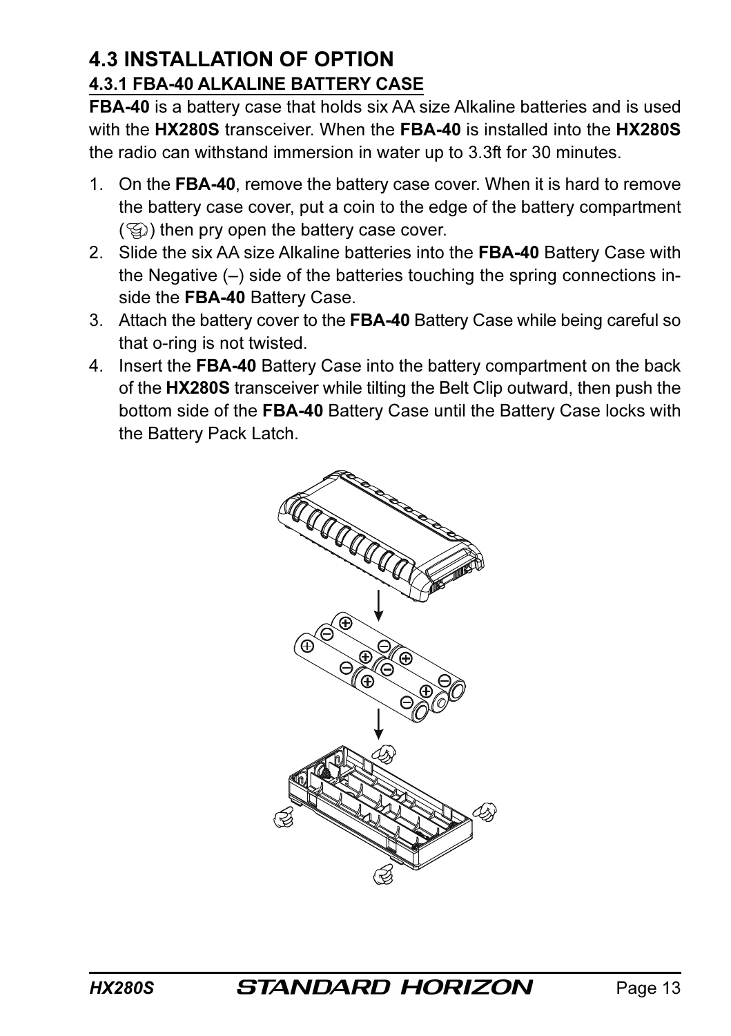## 4.3 INSTALLATION OF OPTION 4.3.1 FBA-40 ALKALINE BATTERY CASE

FBA-40 is a battery case that holds six AA size Alkaline batteries and is used with the HX280S transceiver. When the FBA-40 is installed into the HX280S the radio can withstand immersion in water up to 3.3ft for 30 minutes.

- 1. On the FBA-40, remove the battery case cover. When it is hard to remove the battery case cover, put a coin to the edge of the battery compartment  $(\mathcal{G})$  then pry open the battery case cover.
- 2. Slide the six AA size Alkaline batteries into the FBA-40 Battery Case with the Negative (–) side of the batteries touching the spring connections inside the FBA-40 Battery Case.
- 3. Attach the battery cover to the FBA-40 Battery Case while being careful so that o-ring is not twisted.
- 4. Insert the FBA-40 Battery Case into the battery compartment on the back of the HX280S transceiver while tilting the Belt Clip outward, then push the bottom side of the FBA-40 Battery Case until the Battery Case locks with the Battery Pack Latch.

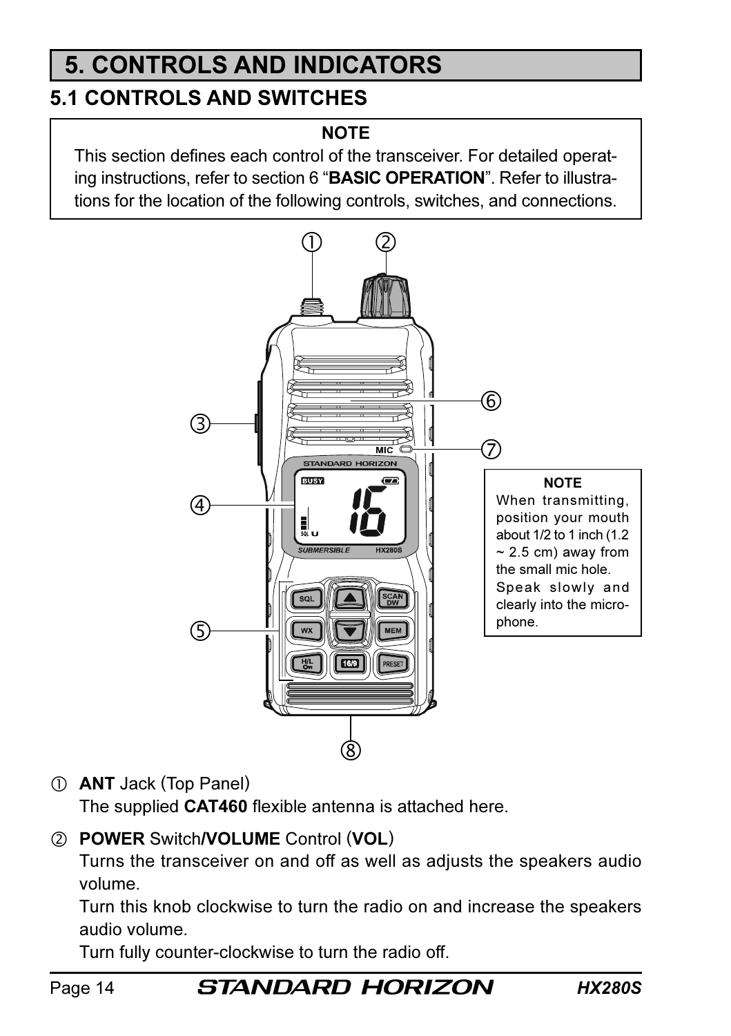# 5. CONTROLS AND INDICATORS

## 5.1 CONTROLS AND SWITCHES

#### **NOTE**

This section defines each control of the transceiver. For detailed operating instructions, refer to section 6 "BASIC OPERATION". Refer to illustrations for the location of the following controls, switches, and connections.



ANT Jack (Top Panel)

The supplied **CAT460** flexible antenna is attached here.

2 POWER Switch/VOLUME Control (VOL)

Turns the transceiver on and off as well as adjusts the speakers audio volume.

Turn this knob clockwise to turn the radio on and increase the speakers audio volume.

Turn fully counter-clockwise to turn the radio off.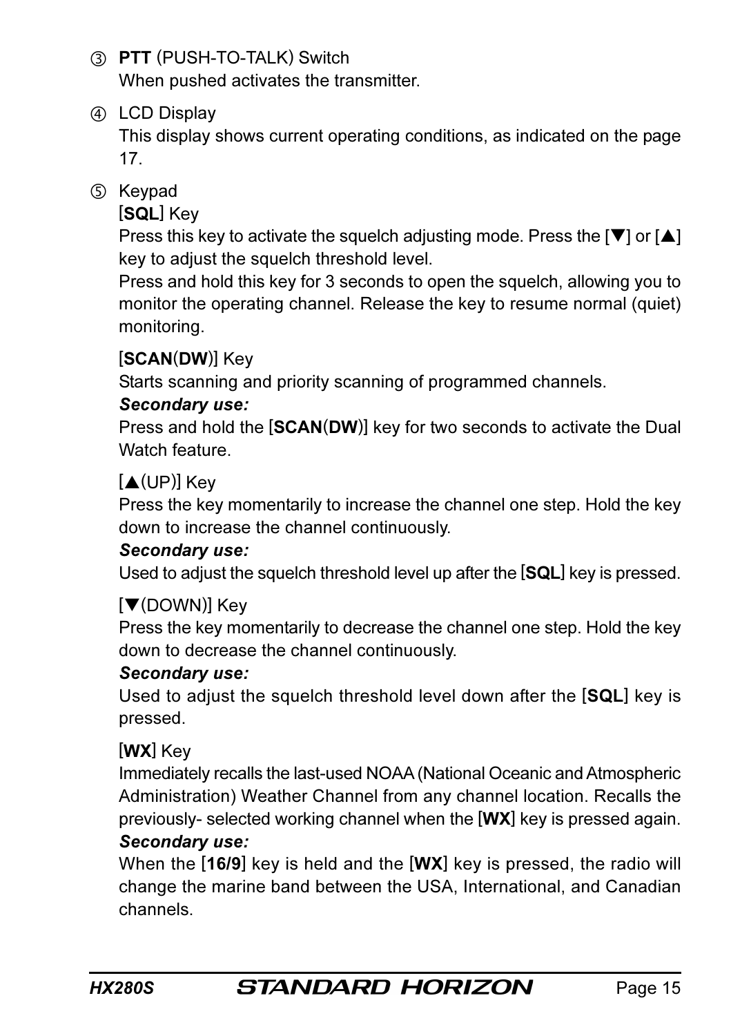- PTT (PUSH-TO-TALK) Switch When pushed activates the transmitter.
- (4) LCD Display

This display shows current operating conditions, as indicated on the page 17.

**5** Keypad

[SQL] Key

Press this key to activate the squelch adjusting mode. Press the  $[\nabla]$  or  $[\nabla]$ key to adjust the squelch threshold level.

Press and hold this key for 3 seconds to open the squelch, allowing you to monitor the operating channel. Release the key to resume normal (quiet) monitoring.

## [SCAN(DW)] Key

Starts scanning and priority scanning of programmed channels.

#### Secondary use:

Press and hold the [SCAN(DW)] key for two seconds to activate the Dual Watch feature.

## [▲(UP)] Key

Press the key momentarily to increase the channel one step. Hold the key down to increase the channel continuously.

#### Secondary use:

Used to adjust the squelch threshold level up after the [SQL] key is pressed.

## [▼(DOWN)] Key

Press the key momentarily to decrease the channel one step. Hold the key down to decrease the channel continuously.

#### Secondary use:

Used to adjust the squelch threshold level down after the [SQL] key is pressed.

## [WX] Key

Immediately recalls the last-used NOAA (National Oceanic and Atmospheric Administration) Weather Channel from any channel location. Recalls the previously- selected working channel when the [WX] key is pressed again.

#### Secondary use:

When the  $[16/9]$  key is held and the  $[WX]$  key is pressed, the radio will change the marine band between the USA, International, and Canadian channels.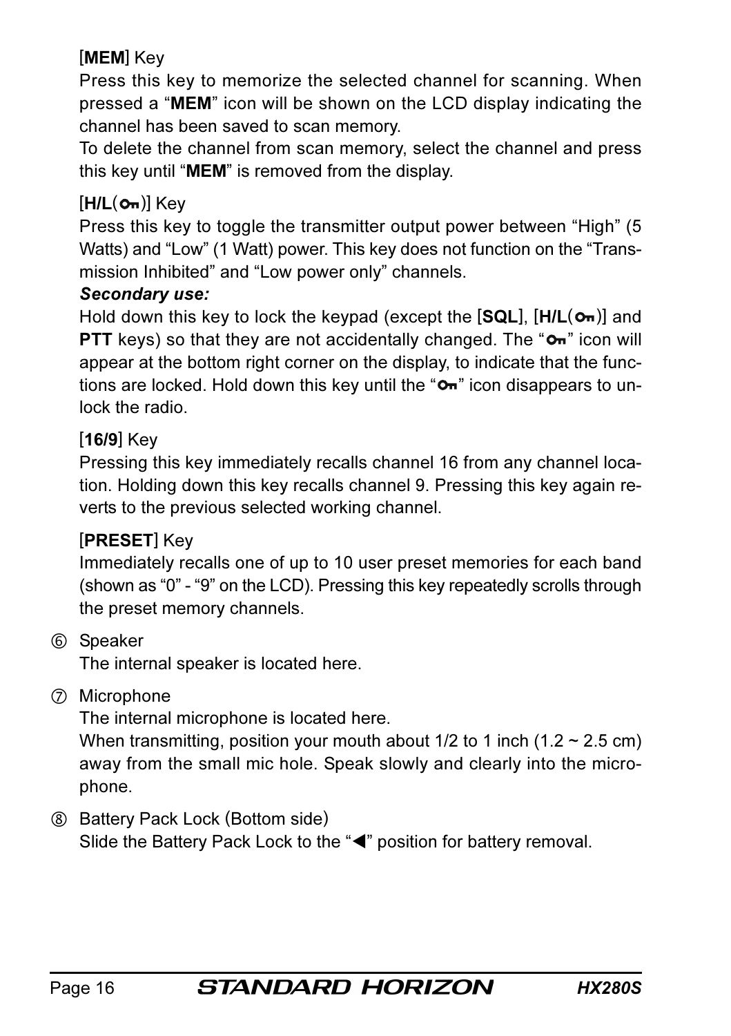#### [MEM] Key

Press this key to memorize the selected channel for scanning. When pressed a "MEM" icon will be shown on the LCD display indicating the channel has been saved to scan memory.

To delete the channel from scan memory, select the channel and press this key until "MEM" is removed from the display.

#### $[H/L(\sigma_n)]$  Key

Press this key to toggle the transmitter output power between "High" (5 Watts) and "Low" (1 Watt) power. This key does not function on the "Transmission Inhibited" and "Low power only" channels.

#### Secondary use:

Hold down this key to lock the keypad (except the  $[SQL]$ ,  $[H/L(\sigma_n)]$  and **PTT** keys) so that they are not accidentally changed. The " $\sigma$ <sup>"</sup> icon will appear at the bottom right corner on the display, to indicate that the functions are locked. Hold down this key until the " $O<sub>m</sub>$ " icon disappears to unlock the radio.

#### [16/9] Key

Pressing this key immediately recalls channel 16 from any channel location. Holding down this key recalls channel 9. Pressing this key again reverts to the previous selected working channel.

#### [PRESET] Key

Immediately recalls one of up to 10 user preset memories for each band (shown as "0" - "9" on the LCD). Pressing this key repeatedly scrolls through the preset memory channels.

Speaker

The internal speaker is located here.

#### Microphone

The internal microphone is located here.

When transmitting, position your mouth about  $1/2$  to 1 inch  $(1.2 \sim 2.5 \text{ cm})$ away from the small mic hole. Speak slowly and clearly into the microphone.

 Battery Pack Lock (Bottom side) Slide the Battery Pack Lock to the "<" position for battery removal.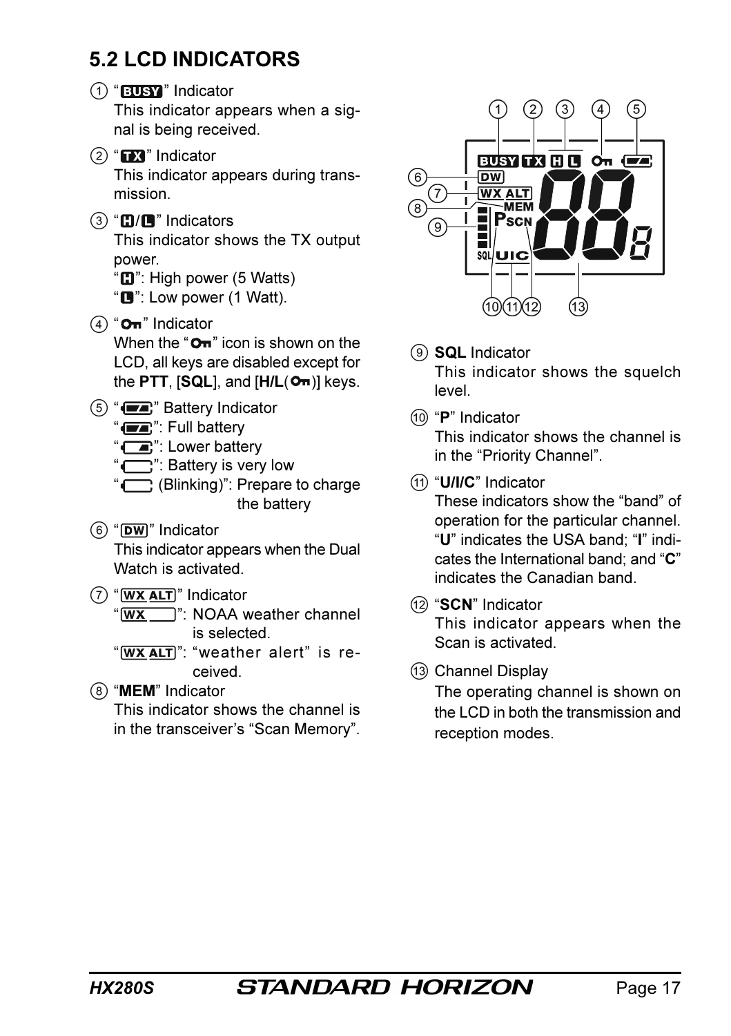## 5.2 LCD INDICATORS

- (1) "BUSY" Indicator This indicator appears when a signal is being received.
- $(2)$  " $\Box$ " Indicator This indicator appears during transmission.
- $(3)$  " $\Box$ / $\Box$ " Indicators

This indicator shows the TX output power.

"**C'**": High power (5 Watts)

" $\Box$ ": Low power (1 Watt).

- $\left(4\right)$  " **Om**" Indicator When the " $\mathbf{O}_{\mathbf{H}}$ " icon is shown on the LCD, all keys are disabled except for the PTT,  $[SQL]$ , and  $[H/L(O<sub>m</sub>)]$  keys.
- $(5)$  " $(2)$ " Battery Indicator
	- "**TA**": Full battery
	- " $\blacksquare$ ": Lower battery
	- "": Battery is very low
	- "" (Blinking)": Prepare to charge the battery
- $(6)$  " $DW$ " Indicator This indicator appears when the Dual Watch is activated.
- $(7)$  "  $WX$  ALT]" Indicator

" WX ": NOAA weather channel is selected.

" 'WX ALT": "weather alert" is received.

(8) "MEM" Indicator This indicator shows the channel is in the transceiver's "Scan Memory".



- **Q** SQL Indicator This indicator shows the squelch level.
- "P" Indicator This indicator shows the channel is in the "Priority Channel".
- (11) "U/I/C" Indicator

These indicators show the "band" of operation for the particular channel. "U" indicates the USA band; "I" indicates the International band; and "C" indicates the Canadian band.

- 12 "SCN" Indicator This indicator appears when the Scan is activated.
- (13) Channel Display

The operating channel is shown on the LCD in both the transmission and reception modes.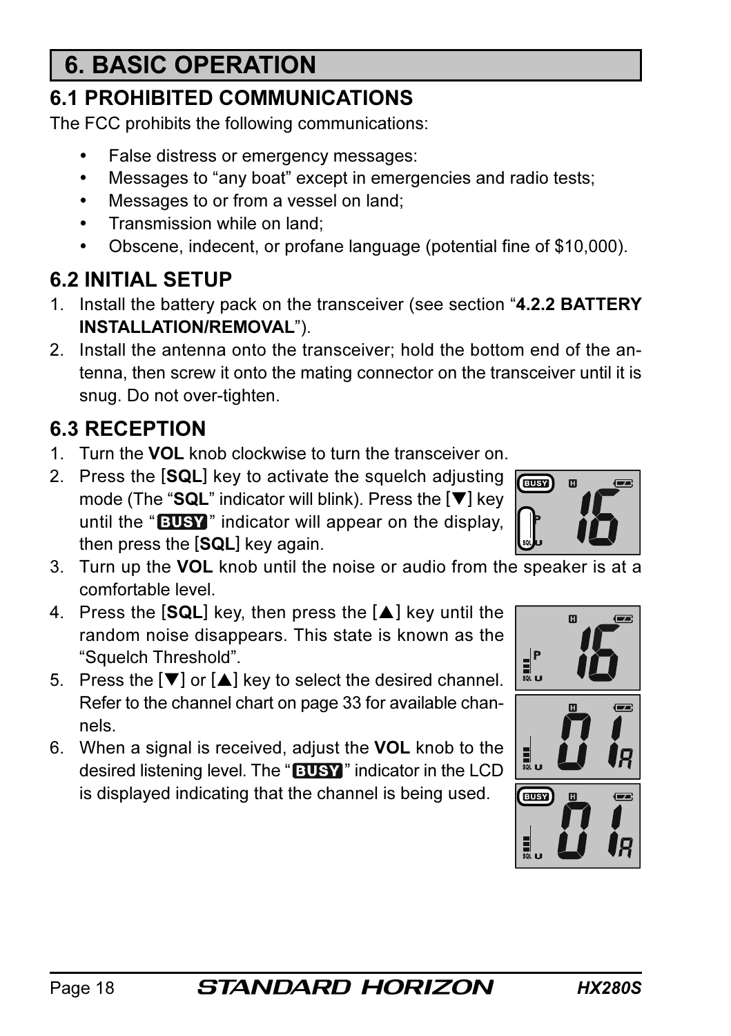# 6. BASIC OPERATION

## 6.1 PROHIBITED COMMUNICATIONS

The FCC prohibits the following communications:

- False distress or emergency messages:
- Messages to "any boat" except in emergencies and radio tests;
- Messages to or from a vessel on land;
- Transmission while on land:
- Obscene, indecent, or profane language (potential fine of \$10,000).

## 6.2 INITIAL SETUP

- 1. Install the battery pack on the transceiver (see section "4.2.2 BATTERY INSTALLATION/REMOVAL").
- 2. Install the antenna onto the transceiver; hold the bottom end of the antenna, then screw it onto the mating connector on the transceiver until it is snug. Do not over-tighten.

## 6.3 RECEPTION

- 1. Turn the VOL knob clockwise to turn the transceiver on.
- 2. Press the [SQL] key to activate the squelch adjusting mode (The "SQL" indicator will blink). Press the  $[\nabla]$  key until the "**BUSY**" indicator will appear on the display, then press the [SQL] key again.
- 3. Turn up the VOL knob until the noise or audio from the speaker is at a comfortable level.
- 4. Press the [SQL] key, then press the [A] key until the random noise disappears. This state is known as the "Squelch Threshold".
- 5. Press the  $[\nabla]$  or  $[\nabla]$  key to select the desired channel. Refer to the channel chart on page 33 for available channels.
- 6. When a signal is received, adjust the VOL knob to the desired listening level. The "**BUSY**" indicator in the LCD is displayed indicating that the channel is being used.







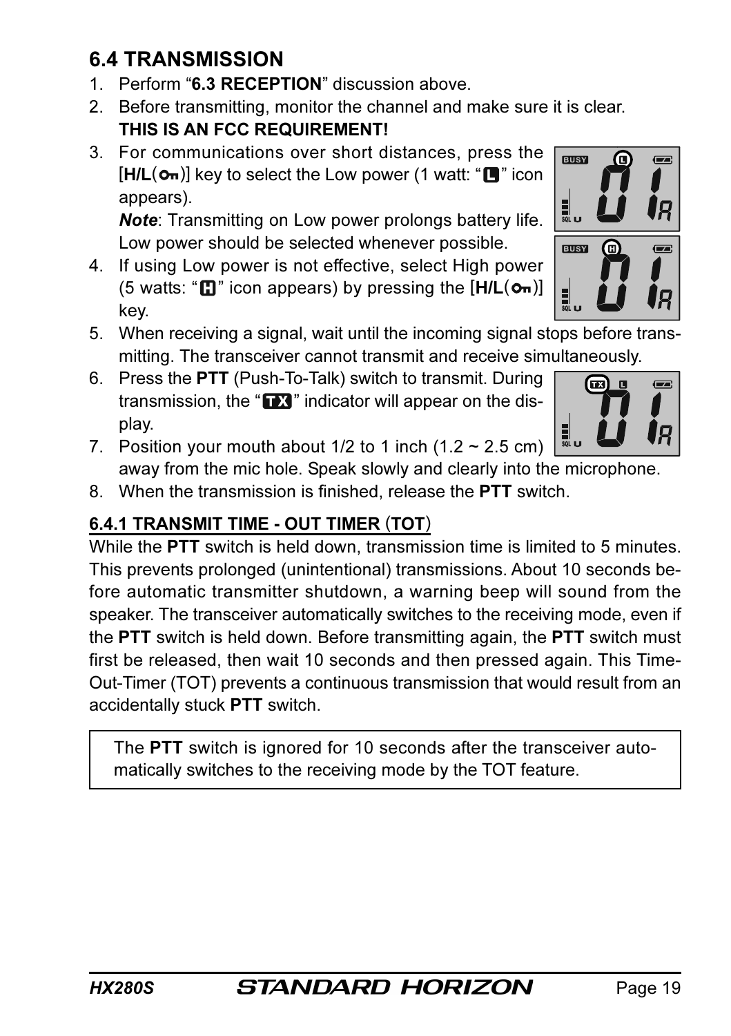## 6.4 TRANSMISSION

- 1. Perform "6.3 RECEPTION" discussion above
- 2. Before transmitting, monitor the channel and make sure it is clear. THIS IS AN FCC REQUIREMENT!
- 3. For communications over short distances, press the  $[H/L(\bullet_m)]$  key to select the Low power (1 watt: " $\Box$ " icon appears).

Note: Transmitting on Low power prolongs battery life. Low power should be selected whenever possible.

- 4. If using Low power is not effective, select High power (5 watts: " $\Box$ " icon appears) by pressing the  $[H/L(\bullet_n)]$ key.
- 5. When receiving a signal, wait until the incoming signal stops before transmitting. The transceiver cannot transmit and receive simultaneously.
- 6. Press the PTT (Push-To-Talk) switch to transmit. During transmission, the " $\blacksquare$ " indicator will appear on the display.
- 网  $\sqrt{2}$ 릚
- 7. Position your mouth about  $1/2$  to 1 inch  $(1.2 \sim 2.5 \text{ cm})$ away from the mic hole. Speak slowly and clearly into the microphone.
- 8. When the transmission is finished, release the PTT switch.

## 6.4.1 TRANSMIT TIME - OUT TIMER (TOT)

While the PTT switch is held down, transmission time is limited to 5 minutes. This prevents prolonged (unintentional) transmissions. About 10 seconds before automatic transmitter shutdown, a warning beep will sound from the speaker. The transceiver automatically switches to the receiving mode, even if the PTT switch is held down. Before transmitting again, the PTT switch must first be released, then wait 10 seconds and then pressed again. This Time-Out-Timer (TOT) prevents a continuous transmission that would result from an accidentally stuck PTT switch.

The PTT switch is ignored for 10 seconds after the transceiver automatically switches to the receiving mode by the TOT feature.



EUSY

1

EUSY

⋒

 $\sqrt{2}$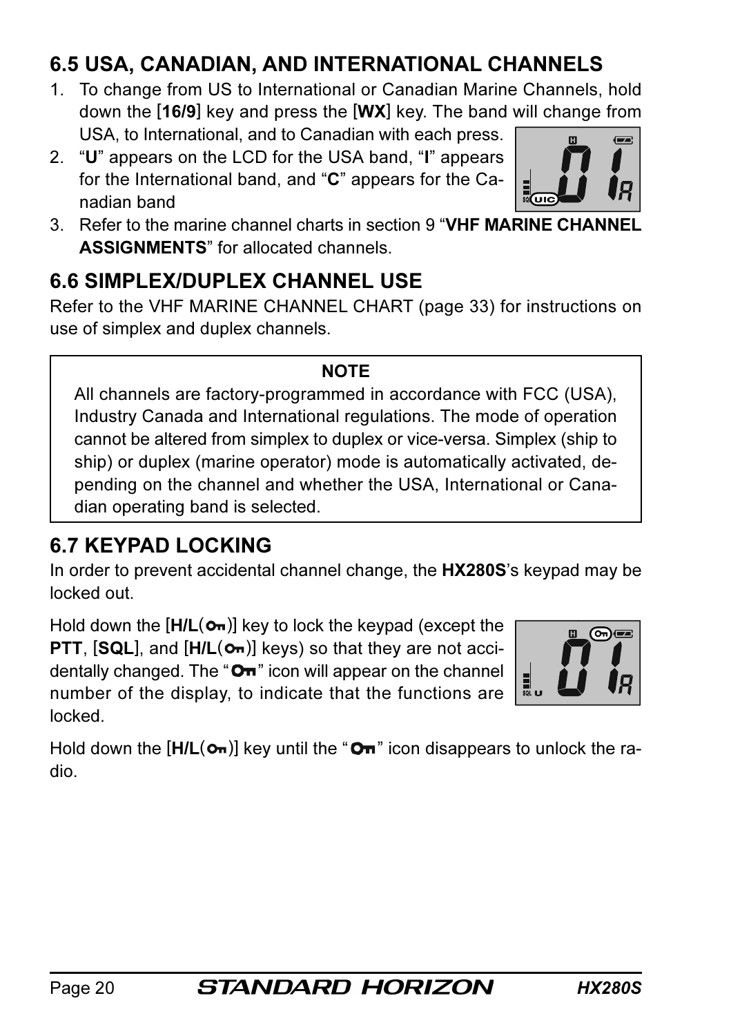## 6.5 USA, CANADIAN, AND INTERNATIONAL CHANNELS

- 1. To change from US to International or Canadian Marine Channels, hold down the [16/9] key and press the [WX] key. The band will change from USA, to International, and to Canadian with each press.
- 2. "U" appears on the LCD for the USA band, "I" appears for the International band, and "C" appears for the Canadian band
- 3. Refer to the marine channel charts in section 9 "VHF MARINE CHANNEL ASSIGNMENTS" for allocated channels.

## 6.6 SIMPLEX/DUPLEX CHANNEL USE

Refer to the VHF MARINE CHANNEL CHART (page 33) for instructions on use of simplex and duplex channels.

#### **NOTE**

All channels are factory-programmed in accordance with FCC (USA), Industry Canada and International regulations. The mode of operation cannot be altered from simplex to duplex or vice-versa. Simplex (ship to ship) or duplex (marine operator) mode is automatically activated, depending on the channel and whether the USA, International or Canadian operating band is selected.

## 6.7 KEYPAD LOCKING

In order to prevent accidental channel change, the HX280S's keypad may be locked out.

Hold down the  $[H/L(\sigma_n)]$  key to lock the keypad (except the **PTT,**  $[SQL]$ **, and**  $[H/L(0m)]$  **keys) so that they are not acci**dentally changed. The " $O<sub>m</sub>$ " icon will appear on the channel number of the display, to indicate that the functions are locked.

Hold down the  $[H/L(\mathbf{O}_{\mathbf{m}})]$  key until the " $\mathbf{O}_{\mathbf{m}}$ " icon disappears to unlock the radio.



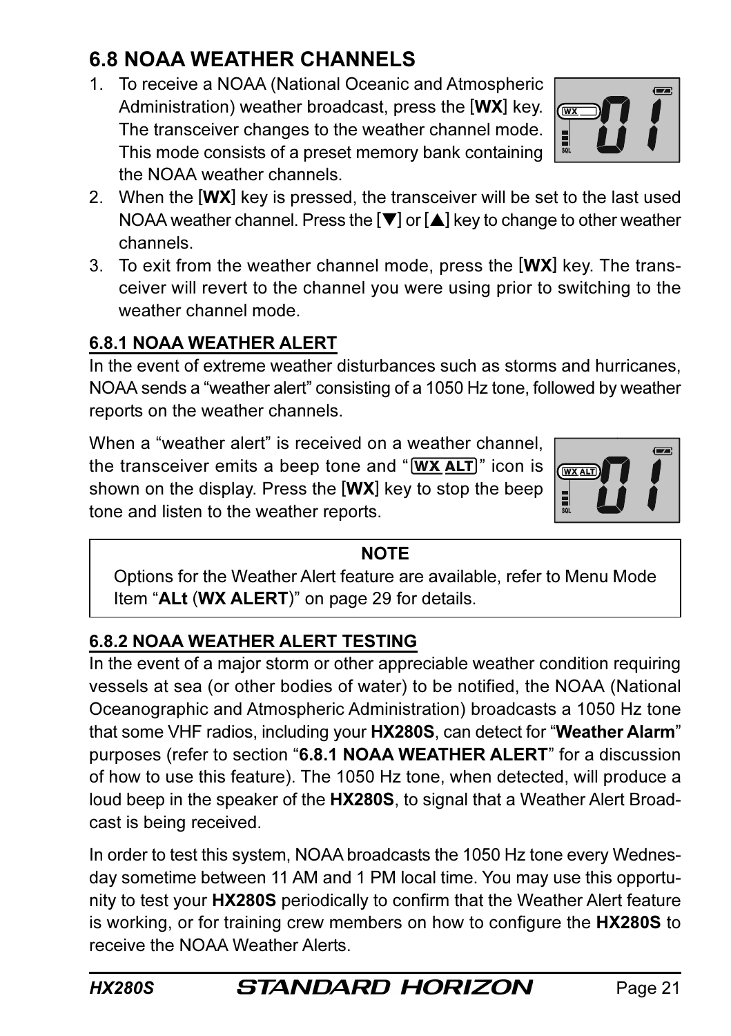tone and listen to the weather reports.

#### **NOTE**

Options for the Weather Alert feature are available, refer to Menu Mode Item "ALt (WX ALERT)" on page 29 for details.

#### 6.8.2 NOAA WEATHER ALERT TESTING

In the event of a major storm or other appreciable weather condition requiring vessels at sea (or other bodies of water) to be notified, the NOAA (National Oceanographic and Atmospheric Administration) broadcasts a 1050 Hz tone that some VHF radios, including your HX280S, can detect for "Weather Alarm" purposes (refer to section "6.8.1 NOAA WEATHER ALERT" for a discussion of how to use this feature). The 1050 Hz tone, when detected, will produce a loud beep in the speaker of the HX280S, to signal that a Weather Alert Broadcast is being received.

In order to test this system, NOAA broadcasts the 1050 Hz tone every Wednesday sometime between 11 AM and 1 PM local time. You may use this opportunity to test your HX280S periodically to confirm that the Weather Alert feature is working, or for training crew members on how to configure the HX280S to receive the NOAA Weather Alerts.

# 6.8 NOAA WEATHER CHANNELS

- 1. To receive a NOAA (National Oceanic and Atmospheric Administration) weather broadcast, press the **[WX]** key. The transceiver changes to the weather channel mode. This mode consists of a preset memory bank containing the NOAA weather channels.
- 2. When the [WX] key is pressed, the transceiver will be set to the last used NOAA weather channel. Press the  $[\blacktriangledown]$  or  $[\blacktriangle]$  key to change to other weather channels.
- 3. To exit from the weather channel mode, press the [WX] key. The transceiver will revert to the channel you were using prior to switching to the weather channel mode.

#### 6.8.1 NOAA WEATHER ALERT

In the event of extreme weather disturbances such as storms and hurricanes, NOAA sends a "weather alert" consisting of a 1050 Hz tone, followed by weather reports on the weather channels.

When a "weather alert" is received on a weather channel. the transceiver emits a beep tone and " $(WX ALT$ " icon is shown on the display. Press the [WX] key to stop the beep



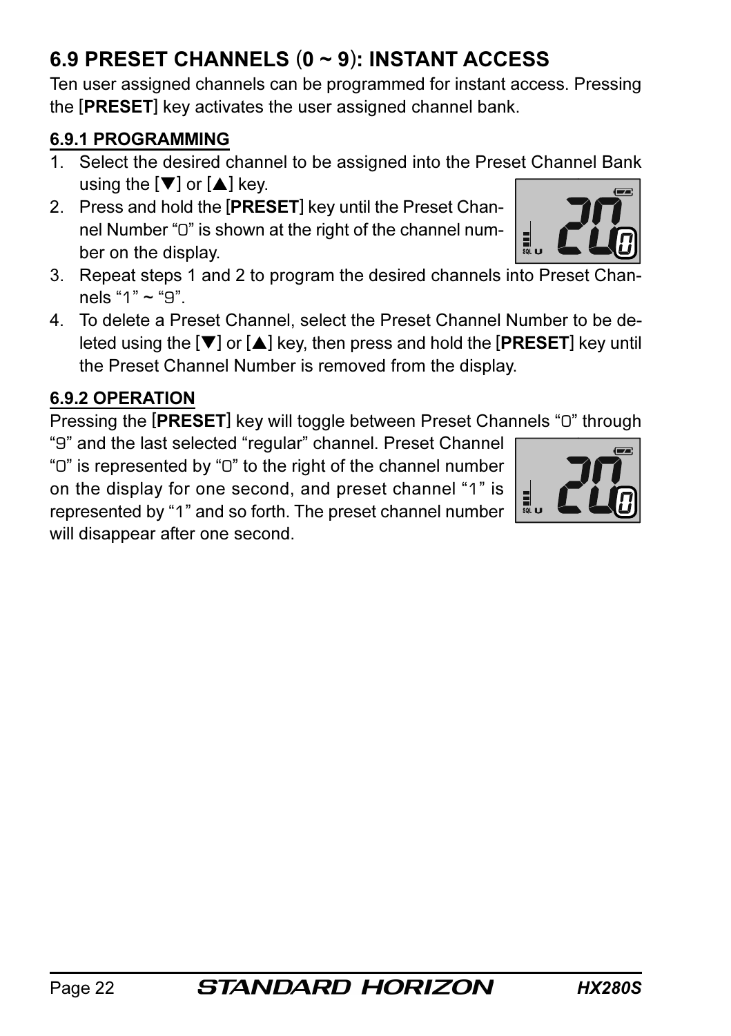# 6.9 PRESET CHANNELS (0 ~ 9): INSTANT ACCESS

Ten user assigned channels can be programmed for instant access. Pressing the [PRESET] key activates the user assigned channel bank.

#### 6.9.1 PROGRAMMING

- 1. Select the desired channel to be assigned into the Preset Channel Bank using the  $[\nabla]$  or  $[\nabla]$  key.
- 2. Press and hold the [PRESET] key until the Preset Channel Number "0" is shown at the right of the channel number on the display.
- 3. Repeat steps 1 and 2 to program the desired channels into Preset Channels "1"  $\sim$  "9".
- 4. To delete a Preset Channel, select the Preset Channel Number to be deleted using the  $[\nabla]$  or  $[\triangle]$  key, then press and hold the [PRESET] key until the Preset Channel Number is removed from the display.

## 6.9.2 OPERATION

Pressing the [PRESET] key will toggle between Preset Channels "0" through

"9" and the last selected "regular" channel. Preset Channel "0" is represented by "0" to the right of the channel number on the display for one second, and preset channel "1" is represented by "1" and so forth. The preset channel number will disappear after one second.



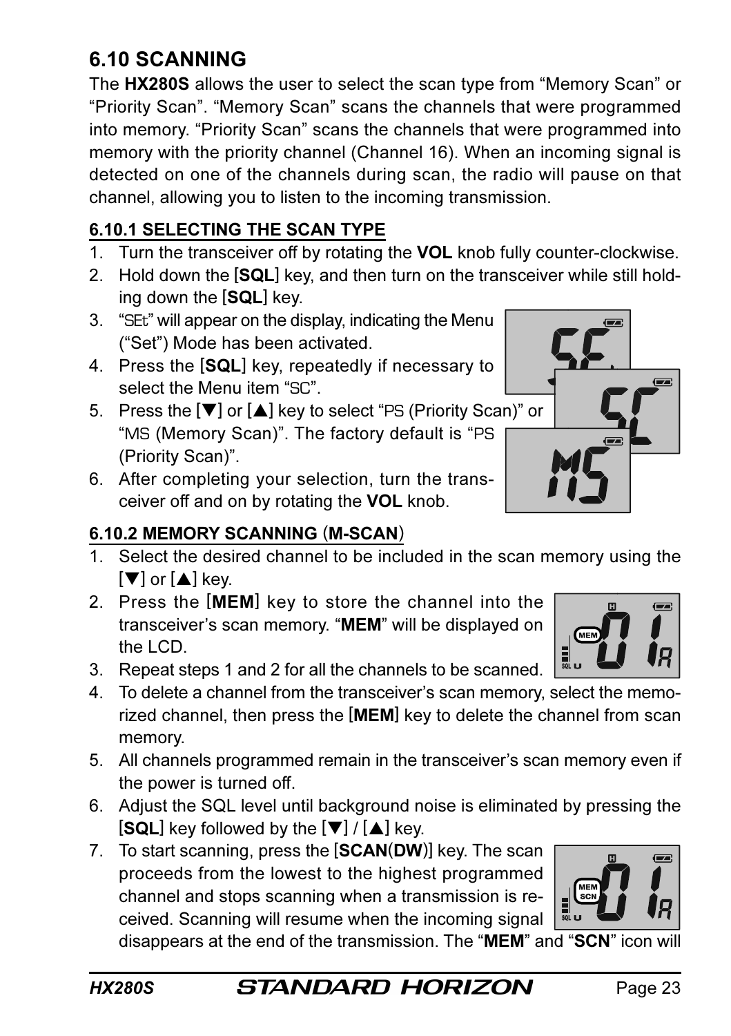## 6.10 SCANNING

The HX280S allows the user to select the scan type from "Memory Scan" or "Priority Scan". "Memory Scan" scans the channels that were programmed into memory. "Priority Scan" scans the channels that were programmed into memory with the priority channel (Channel 16). When an incoming signal is detected on one of the channels during scan, the radio will pause on that channel, allowing you to listen to the incoming transmission.

#### 6.10.1 SELECTING THE SCAN TYPE

- 1. Turn the transceiver off by rotating the VOL knob fully counter-clockwise.
- 2. Hold down the [SQL] key, and then turn on the transceiver while still holding down the [SQL] key.
- 3. "SEt" will appear on the display, indicating the Menu ("Set") Mode has been activated.
- 4. Press the [SQL] key, repeatedly if necessary to select the Menu item "SC".
- 5. Press the [▼] or [▲] key to select "PS (Priority Scan)" or "MS (Memory Scan)". The factory default is "PS (Priority Scan)".
- 6. After completing your selection, turn the transceiver off and on by rotating the VOL knob.

## 6.10.2 MEMORY SCANNING (M-SCAN)

- 1. Select the desired channel to be included in the scan memory using the  $[\nabla]$  or  $[\nabla]$  key.
- 2. Press the [MEM] key to store the channel into the transceiver's scan memory. "MEM" will be displayed on the LCD.
- 3. Repeat steps 1 and 2 for all the channels to be scanned.
- 4. To delete a channel from the transceiver's scan memory, select the memorized channel, then press the [MEM] key to delete the channel from scan memory.
- 5. All channels programmed remain in the transceiver's scan memory even if the power is turned off.
- 6. Adjust the SQL level until background noise is eliminated by pressing the  $[SQL]$  key followed by the  $[\nabla] / [\triangle]$  key.
- 7. To start scanning, press the [SCAN(DW)] key. The scan proceeds from the lowest to the highest programmed channel and stops scanning when a transmission is received. Scanning will resume when the incoming signal

disappears at the end of the transmission. The "MEM" and "SCN" icon will



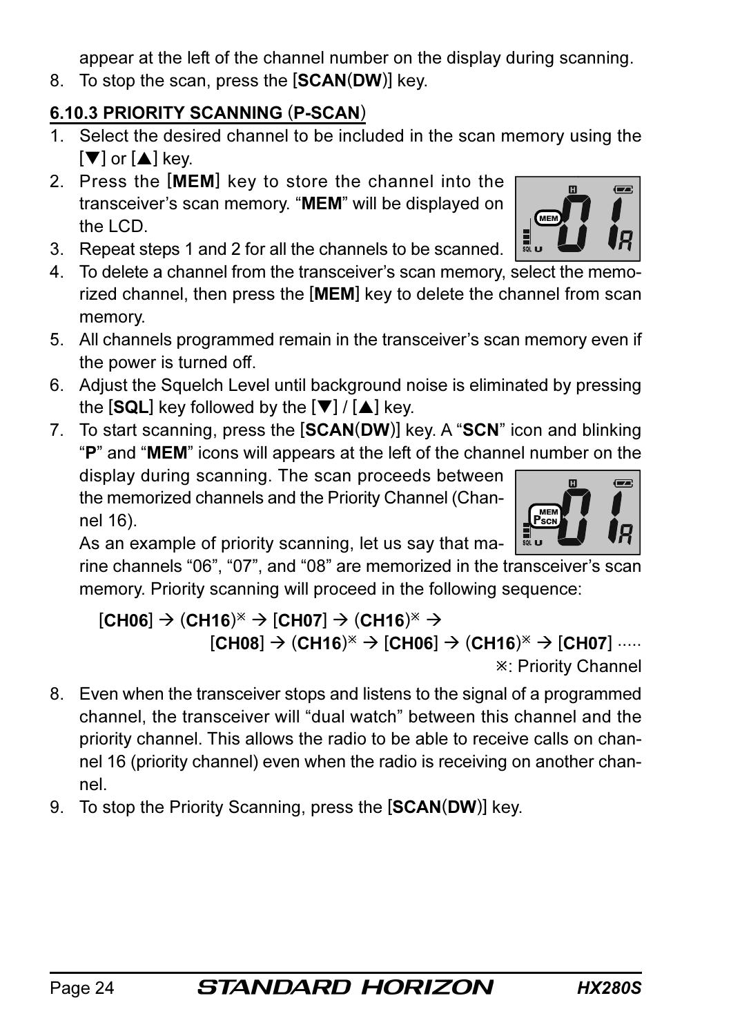appear at the left of the channel number on the display during scanning.

8. To stop the scan, press the **[SCAN(DW)**] key.

## 6.10.3 PRIORITY SCANNING (P-SCAN)

- 1. Select the desired channel to be included in the scan memory using the  $[\nabla]$  or  $[\nabla]$  key.
- 2. Press the [MEM] key to store the channel into the transceiver's scan memory. "MEM" will be displayed on the LCD.
- 3. Repeat steps 1 and 2 for all the channels to be scanned.
- 4. To delete a channel from the transceiver's scan memory, select the memorized channel, then press the [MEM] key to delete the channel from scan memory.
- 5. All channels programmed remain in the transceiver's scan memory even if the power is turned off.
- 6. Adjust the Squelch Level until background noise is eliminated by pressing the  $[SQL]$  key followed by the  $[\nabla] / [\triangle]$  key.
- 7. To start scanning, press the [SCAN(DW)] key. A "SCN" icon and blinking "P" and "MEM" icons will appears at the left of the channel number on the

display during scanning. The scan proceeds between the memorized channels and the Priority Channel (Channel 16).

As an example of priority scanning, let us say that ma-

rine channels "06", "07", and "08" are memorized in the transceiver's scan memory. Priority scanning will proceed in the following sequence:

#### $[CH06]$   $\rightarrow$   $(CH16)^{\times}$   $\rightarrow$   $[CH07]$   $\rightarrow$   $(CH16)^{\times}$   $\rightarrow$  $[CH08] \rightarrow (CH16)^* \rightarrow [CH06] \rightarrow (CH16)^* \rightarrow [CH07]$  ..... : Priority Channel

- 8. Even when the transceiver stops and listens to the signal of a programmed channel, the transceiver will "dual watch" between this channel and the priority channel. This allows the radio to be able to receive calls on channel 16 (priority channel) even when the radio is receiving on another channel.
- 9. To stop the Priority Scanning, press the [SCAN(DW)] key.



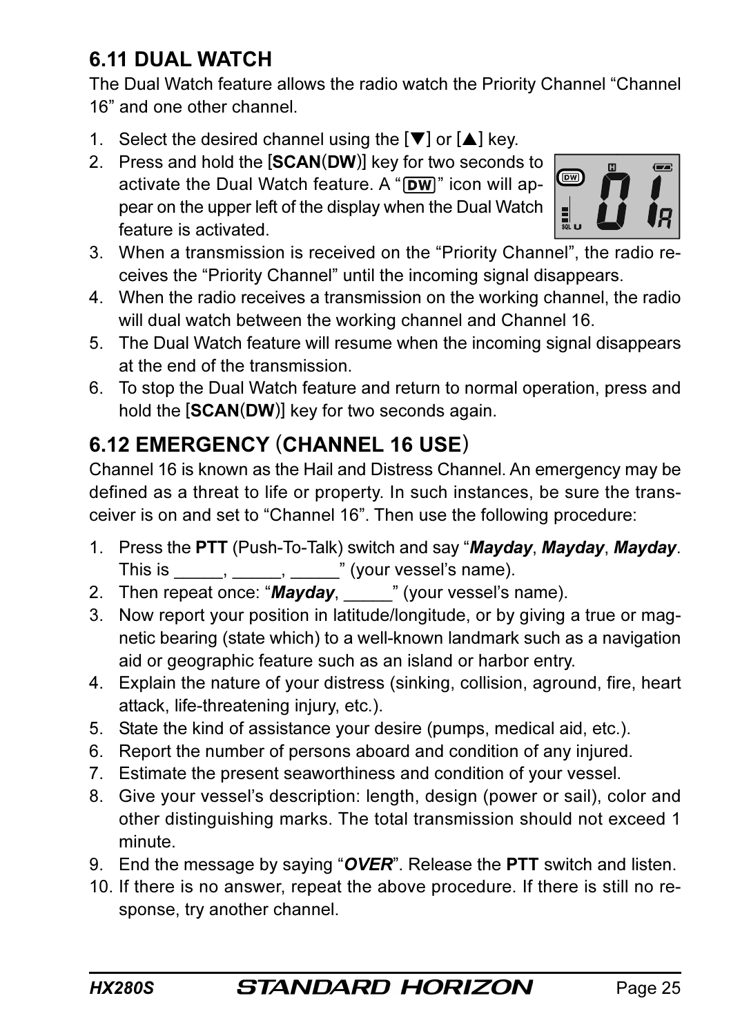## 6.11 DUAL WATCH

The Dual Watch feature allows the radio watch the Priority Channel "Channel 16" and one other channel.

- 1. Select the desired channel using the  $[\nabla]$  or  $[\nabla]$  key.
- 2. Press and hold the [SCAN(DW)] key for two seconds to activate the Dual Watch feature. A " $\boxed{\text{DW}}$ " icon will appear on the upper left of the display when the Dual Watch feature is activated.



- 3. When a transmission is received on the "Priority Channel", the radio receives the "Priority Channel" until the incoming signal disappears.
- 4. When the radio receives a transmission on the working channel, the radio will dual watch between the working channel and Channel 16.
- 5. The Dual Watch feature will resume when the incoming signal disappears at the end of the transmission.
- 6. To stop the Dual Watch feature and return to normal operation, press and hold the [SCAN(DW)] key for two seconds again.

## 6.12 EMERGENCY (CHANNEL 16 USE)

Channel 16 is known as the Hail and Distress Channel. An emergency may be defined as a threat to life or property. In such instances, be sure the transceiver is on and set to "Channel 16". Then use the following procedure:

- 1. Press the PTT (Push-To-Talk) switch and say "Mayday, Mayday, Mayday. This is  $\underline{\qquad \qquad }$ ,  $\underline{\qquad \qquad }$ ,  $\underline{\qquad \qquad }$  (your vessel's name).
- 2. Then repeat once: "Mayday, your vessel's name).
- 3. Now report your position in latitude/longitude, or by giving a true or magnetic bearing (state which) to a well-known landmark such as a navigation aid or geographic feature such as an island or harbor entry.
- 4. Explain the nature of your distress (sinking, collision, aground, fire, heart attack, life-threatening injury, etc.).
- 5. State the kind of assistance your desire (pumps, medical aid, etc.).
- 6. Report the number of persons aboard and condition of any injured.
- 7. Estimate the present seaworthiness and condition of your vessel.
- 8. Give your vessel's description: length, design (power or sail), color and other distinguishing marks. The total transmission should not exceed 1 minute.
- 9. End the message by saying " $\overline{OVER}$ ". Release the **PTT** switch and listen.
- 10. If there is no answer, repeat the above procedure. If there is still no response, try another channel.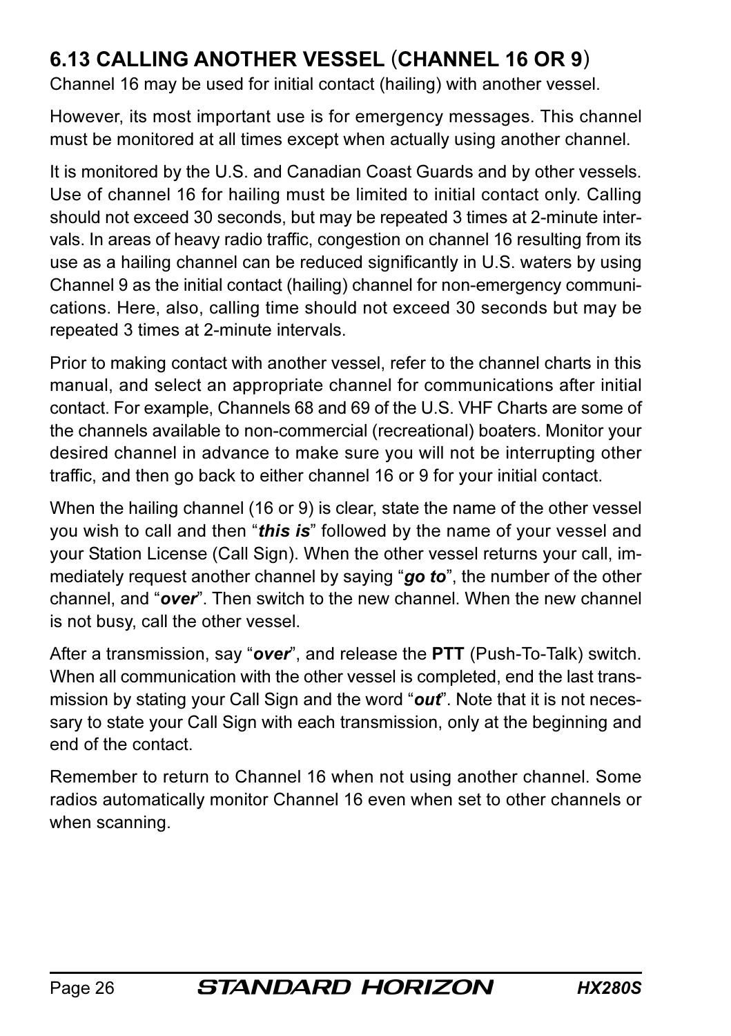## 6.13 CALLING ANOTHER VESSEL (CHANNEL 16 OR 9)

Channel 16 may be used for initial contact (hailing) with another vessel.

However, its most important use is for emergency messages. This channel must be monitored at all times except when actually using another channel.

It is monitored by the U.S. and Canadian Coast Guards and by other vessels. Use of channel 16 for hailing must be limited to initial contact only. Calling should not exceed 30 seconds, but may be repeated 3 times at 2-minute intervals. In areas of heavy radio traffic, congestion on channel 16 resulting from its use as a hailing channel can be reduced significantly in U.S. waters by using Channel 9 as the initial contact (hailing) channel for non-emergency communications. Here, also, calling time should not exceed 30 seconds but may be repeated 3 times at 2-minute intervals.

Prior to making contact with another vessel, refer to the channel charts in this manual, and select an appropriate channel for communications after initial contact. For example, Channels 68 and 69 of the U.S. VHF Charts are some of the channels available to non-commercial (recreational) boaters. Monitor your desired channel in advance to make sure you will not be interrupting other traffic, and then go back to either channel 16 or 9 for your initial contact.

When the hailing channel (16 or 9) is clear, state the name of the other vessel you wish to call and then "this is" followed by the name of your vessel and your Station License (Call Sign). When the other vessel returns your call, immediately request another channel by saying "go to", the number of the other channel, and "over". Then switch to the new channel. When the new channel is not busy, call the other vessel.

After a transmission, say "over", and release the PTT (Push-To-Talk) switch. When all communication with the other vessel is completed, end the last transmission by stating your Call Sign and the word " $out$ ". Note that it is not necessary to state your Call Sign with each transmission, only at the beginning and end of the contact.

Remember to return to Channel 16 when not using another channel. Some radios automatically monitor Channel 16 even when set to other channels or when scanning.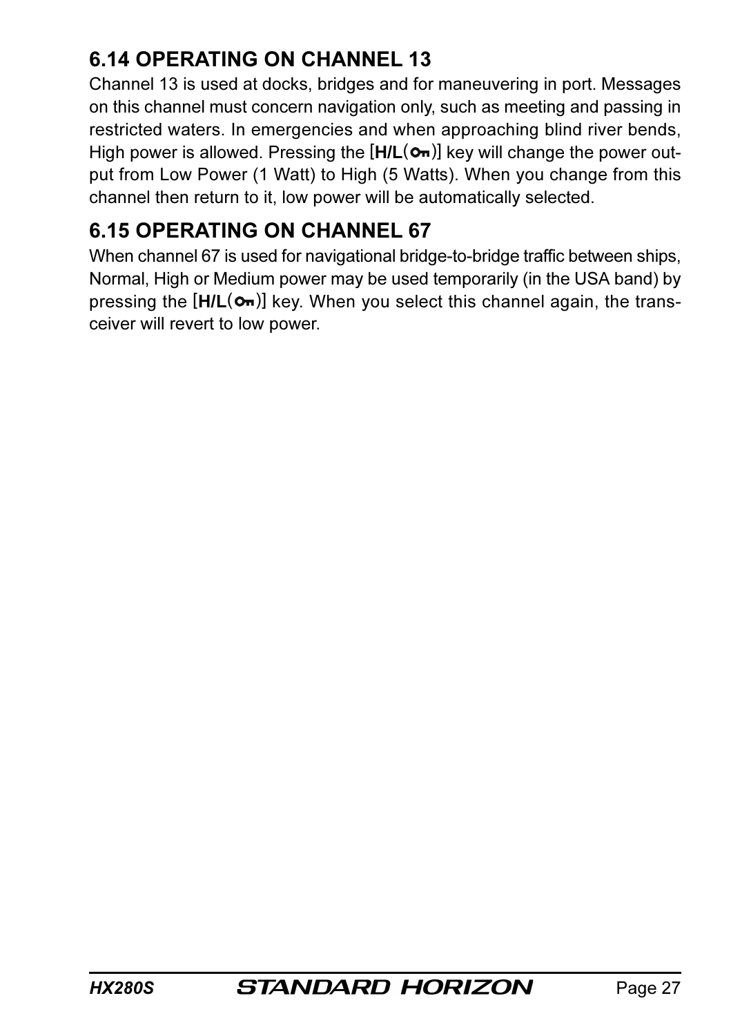## 6.14 OPERATING ON CHANNEL 13

Channel 13 is used at docks, bridges and for maneuvering in port. Messages on this channel must concern navigation only, such as meeting and passing in restricted waters. In emergencies and when approaching blind river bends, High power is allowed. Pressing the  $[H/L(\sigma)]$  key will change the power output from Low Power (1 Watt) to High (5 Watts). When you change from this channel then return to it, low power will be automatically selected.

## 6.15 OPERATING ON CHANNEL 67

When channel 67 is used for navigational bridge-to-bridge traffic between ships, Normal, High or Medium power may be used temporarily (in the USA band) by pressing the  $[H/L(\sigma)]$  key. When you select this channel again, the transceiver will revert to low power.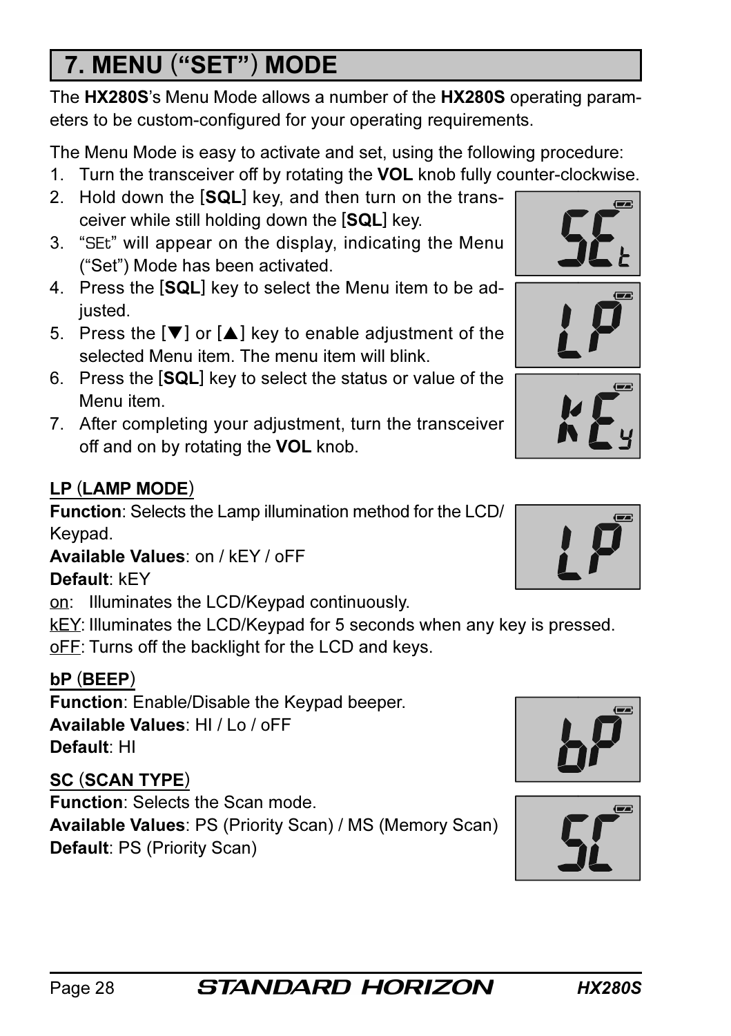# 7. MENU ("SET") MODE

The HX280S's Menu Mode allows a number of the HX280S operating parameters to be custom-configured for your operating requirements.

The Menu Mode is easy to activate and set, using the following procedure:

- 1. Turn the transceiver off by rotating the VOL knob fully counter-clockwise.
- 2. Hold down the [SQL] key, and then turn on the transceiver while still holding down the [SQL] key.
- 3. "SEt" will appear on the display, indicating the Menu ("Set") Mode has been activated.
- 4. Press the [SQL] key to select the Menu item to be adjusted.
- 5. Press the  $[\nabla]$  or  $[\triangle]$  key to enable adjustment of the selected Menu item. The menu item will blink
- 6. Press the [SQL] key to select the status or value of the Menu item.
- 7. After completing your adjustment, turn the transceiver off and on by rotating the VOL knob.

## LP (LAMP MODE)

Function: Selects the Lamp illumination method for the LCD/ Keypad.

Available Values: on / kEY / oFF

## Default: kEY

on: Illuminates the LCD/Keypad continuously.

kEY: Illuminates the LCD/Keypad for 5 seconds when any key is pressed.

oFF: Turns off the backlight for the LCD and keys.

## bP (BEEP)

Function: Enable/Disable the Keypad beeper. Available Values: HI / Lo / oFF Default: HI

## SC (SCAN TYPE)

Function: Selects the Scan mode. Available Values: PS (Priority Scan) / MS (Memory Scan) Default: PS (Priority Scan)











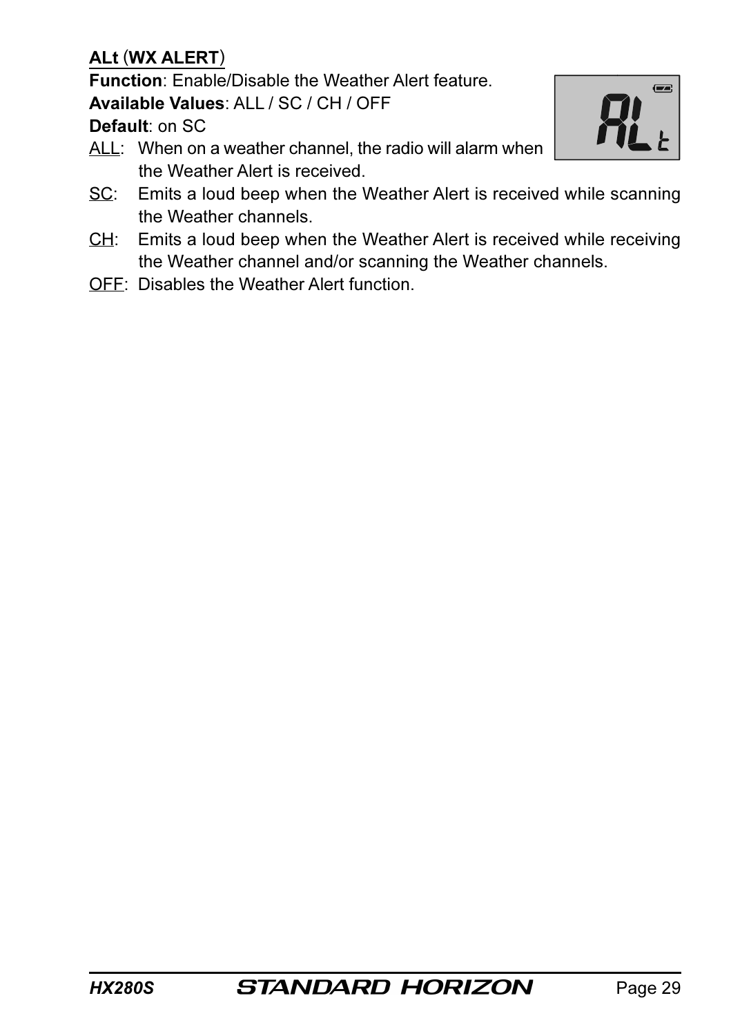#### ALt (WX ALERT)

Function: Enable/Disable the Weather Alert feature.

Available Values: ALL / SC / CH / OFF

Default: on SC

ALL: When on a weather channel, the radio will alarm when the Weather Alert is received.



- SC: Emits a loud beep when the Weather Alert is received while scanning the Weather channels.
- CH: Emits a loud beep when the Weather Alert is received while receiving the Weather channel and/or scanning the Weather channels.
- OFF: Disables the Weather Alert function.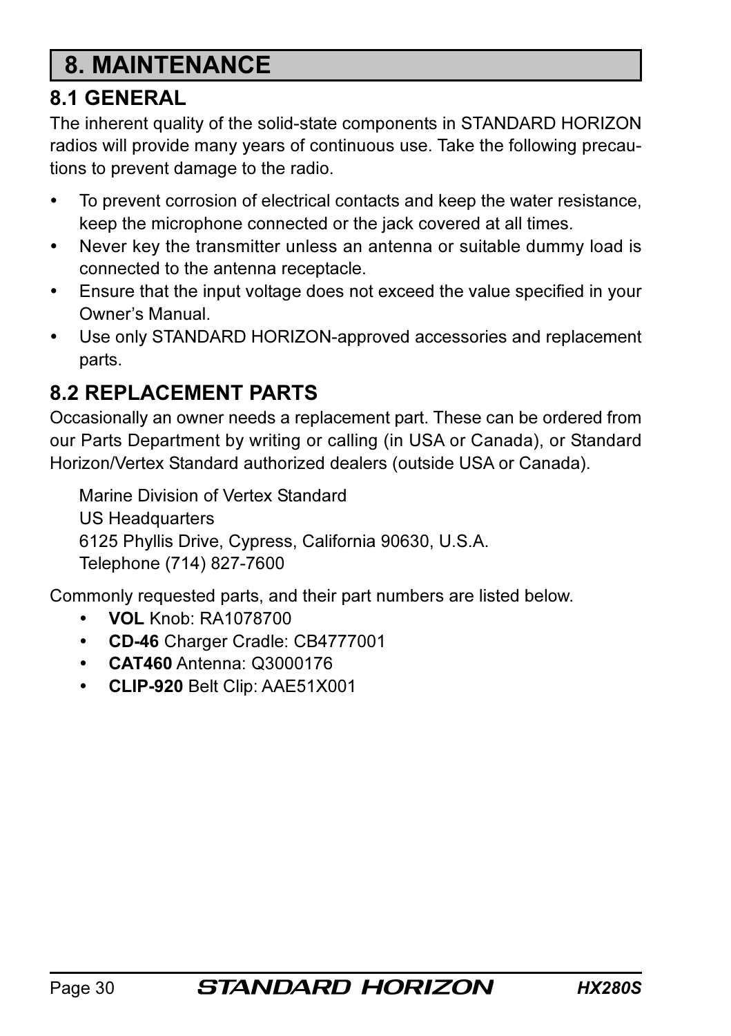# 8. MAINTENANCE

## 8.1 GENERAL

The inherent quality of the solid-state components in STANDARD HORIZON radios will provide many years of continuous use. Take the following precautions to prevent damage to the radio.

- To prevent corrosion of electrical contacts and keep the water resistance, keep the microphone connected or the jack covered at all times.
- Never key the transmitter unless an antenna or suitable dummy load is connected to the antenna receptacle.
- Ensure that the input voltage does not exceed the value specified in your Owner's Manual.
- Use only STANDARD HORIZON-approved accessories and replacement parts.

## 8.2 REPLACEMENT PARTS

Occasionally an owner needs a replacement part. These can be ordered from our Parts Department by writing or calling (in USA or Canada), or Standard Horizon/Vertex Standard authorized dealers (outside USA or Canada).

Marine Division of Vertex Standard US Headquarters 6125 Phyllis Drive, Cypress, California 90630, U.S.A. Telephone (714) 827-7600

Commonly requested parts, and their part numbers are listed below.

- VOL Knob: RA1078700
- CD-46 Charger Cradle: CB4777001
- CAT460 Antenna: Q3000176
- CLIP-920 Belt Clip: AAE51X001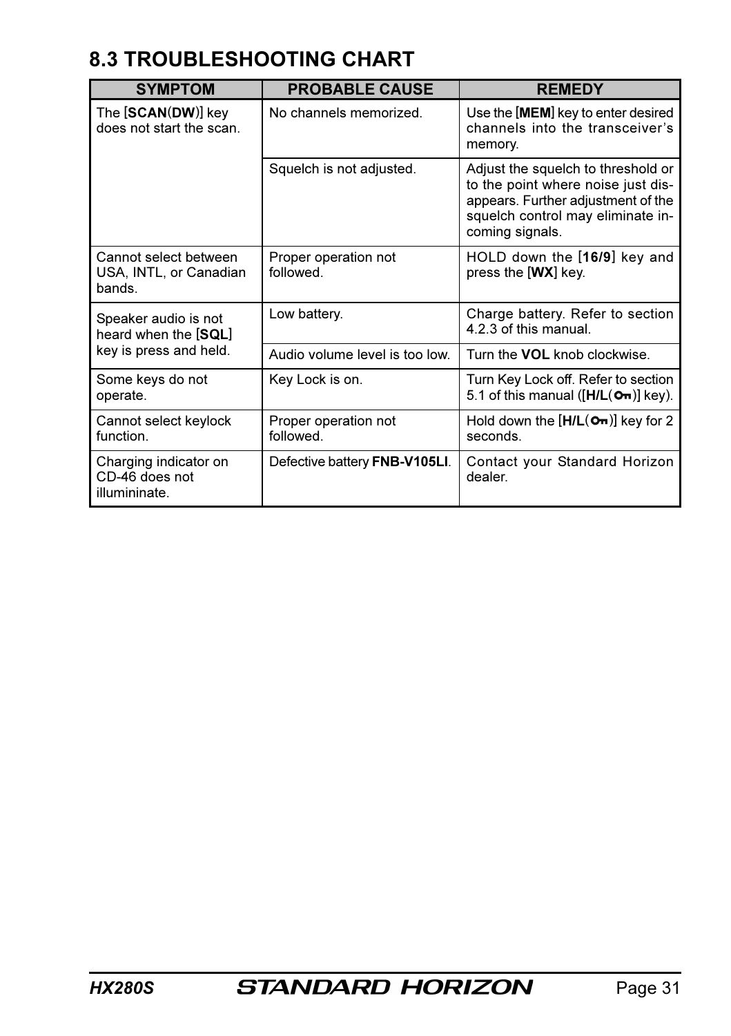## 8.3 TROUBLESHOOTING CHART

| <b>SYMPTOM</b>                                           | <b>PROBABLE CAUSE</b>             | <b>REMEDY</b>                                                                                                                                                          |  |  |  |  |
|----------------------------------------------------------|-----------------------------------|------------------------------------------------------------------------------------------------------------------------------------------------------------------------|--|--|--|--|
| The [ <b>SCAN(DW</b> )] key<br>does not start the scan.  | No channels memorized.            | Use the [MEM] key to enter desired<br>channels into the transceiver's<br>memory.                                                                                       |  |  |  |  |
|                                                          | Squelch is not adjusted.          | Adjust the squelch to threshold or<br>to the point where noise just dis-<br>appears. Further adjustment of the<br>squelch control may eliminate in-<br>coming signals. |  |  |  |  |
| Cannot select between<br>USA, INTL, or Canadian<br>bands | Proper operation not<br>followed  | HOLD down the [16/9] key and<br>press the [WX] key.                                                                                                                    |  |  |  |  |
| Speaker audio is not<br>heard when the [SQL]             | Low battery.                      | Charge battery. Refer to section<br>4.2.3 of this manual                                                                                                               |  |  |  |  |
| key is press and held.                                   | Audio volume level is too low     | Turn the VOL knob clockwise.                                                                                                                                           |  |  |  |  |
| Some keys do not<br>operate.                             | Key Lock is on.                   | Turn Key Lock off. Refer to section<br>5.1 of this manual ( $[H/L(0m)]$ key).                                                                                          |  |  |  |  |
| Cannot select keylock<br>function                        | Proper operation not<br>followed. | Hold down the $[H/L(0m)]$ key for 2<br>seconds                                                                                                                         |  |  |  |  |
| Charging indicator on<br>CD-46 does not<br>illumininate. | Defective battery FNB-V105LI.     | Contact your Standard Horizon<br>dealer                                                                                                                                |  |  |  |  |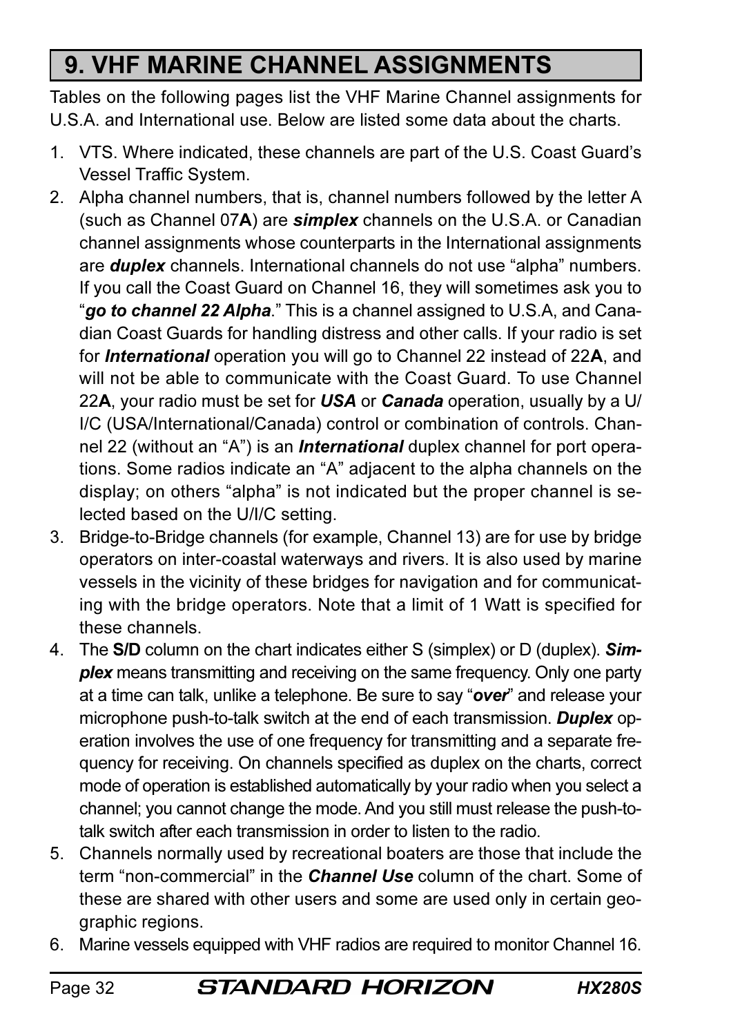# 9. VHF MARINE CHANNEL ASSIGNMENTS

Tables on the following pages list the VHF Marine Channel assignments for U.S.A. and International use. Below are listed some data about the charts.

- 1. VTS. Where indicated, these channels are part of the U.S. Coast Guard's Vessel Traffic System.
- 2. Alpha channel numbers, that is, channel numbers followed by the letter A (such as Channel 07A) are simplex channels on the U.S.A. or Canadian channel assignments whose counterparts in the International assignments are **duplex** channels. International channels do not use "alpha" numbers. If you call the Coast Guard on Channel 16, they will sometimes ask you to "go to channel 22 Alpha." This is a channel assigned to U.S.A, and Canadian Coast Guards for handling distress and other calls. If your radio is set for *International* operation you will go to Channel 22 instead of 22A, and will not be able to communicate with the Coast Guard. To use Channel 22A, your radio must be set for  $\boldsymbol{USA}$  or Canada operation, usually by a U/ I/C (USA/International/Canada) control or combination of controls. Channel 22 (without an "A") is an *International* duplex channel for port operations. Some radios indicate an "A" adjacent to the alpha channels on the display; on others "alpha" is not indicated but the proper channel is selected based on the U/I/C setting.
- 3. Bridge-to-Bridge channels (for example, Channel 13) are for use by bridge operators on inter-coastal waterways and rivers. It is also used by marine vessels in the vicinity of these bridges for navigation and for communicating with the bridge operators. Note that a limit of 1 Watt is specified for these channels.
- 4. The S/D column on the chart indicates either S (simplex) or D (duplex). Simplex means transmitting and receiving on the same frequency. Only one party at a time can talk, unlike a telephone. Be sure to say "over" and release your microphone push-to-talk switch at the end of each transmission. Duplex operation involves the use of one frequency for transmitting and a separate frequency for receiving. On channels specified as duplex on the charts, correct mode of operation is established automatically by your radio when you select a channel; you cannot change the mode. And you still must release the push-totalk switch after each transmission in order to listen to the radio.
- 5. Channels normally used by recreational boaters are those that include the term "non-commercial" in the *Channel Use* column of the chart. Some of these are shared with other users and some are used only in certain geographic regions.
- 6. Marine vessels equipped with VHF radios are required to monitor Channel 16.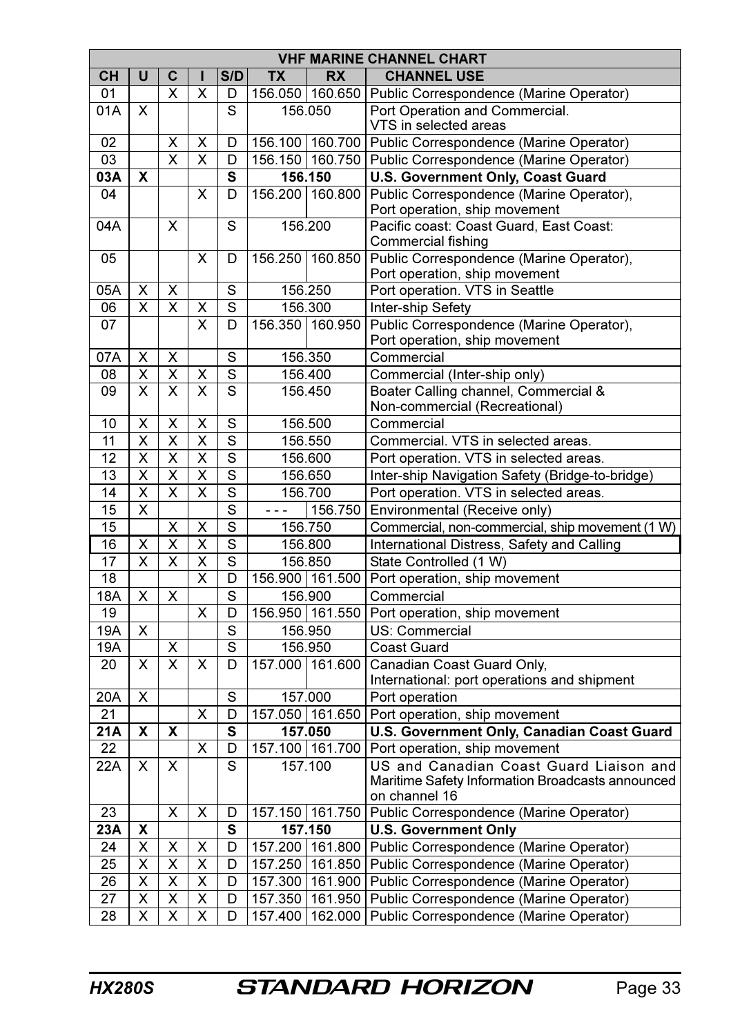| <b>VHF MARINE CHANNEL CHART</b> |                         |                         |                         |                |                    |                   |                                                                           |  |  |  |  |  |  |  |
|---------------------------------|-------------------------|-------------------------|-------------------------|----------------|--------------------|-------------------|---------------------------------------------------------------------------|--|--|--|--|--|--|--|
| CН                              | U                       | C                       | ı                       | S/D            | <b>TX</b>          | <b>RX</b>         | <b>CHANNEL USE</b>                                                        |  |  |  |  |  |  |  |
| 01                              |                         | x                       | X                       | D              |                    | 156.050   160.650 | Public Correspondence (Marine Operator)                                   |  |  |  |  |  |  |  |
| 01A                             | X                       |                         |                         | S              | 156.050            |                   | Port Operation and Commercial.                                            |  |  |  |  |  |  |  |
|                                 |                         |                         |                         |                |                    |                   | VTS in selected areas                                                     |  |  |  |  |  |  |  |
| 02                              |                         | x                       | Χ                       | D              |                    | 156.100   160.700 | Public Correspondence (Marine Operator)                                   |  |  |  |  |  |  |  |
| 03                              |                         | X                       | X                       | D              |                    | 156.150 160.750   | Public Correspondence (Marine Operator)                                   |  |  |  |  |  |  |  |
| 03A                             | X                       |                         |                         | S              |                    | 156.150           | U.S. Government Only, Coast Guard                                         |  |  |  |  |  |  |  |
| 04                              |                         |                         | X                       | D              |                    | 156.200   160.800 | Public Correspondence (Marine Operator),<br>Port operation, ship movement |  |  |  |  |  |  |  |
| 04A                             |                         | X                       |                         | S              |                    | 156.200           | Pacific coast: Coast Guard, East Coast:<br>Commercial fishing             |  |  |  |  |  |  |  |
| 05                              |                         |                         | X                       | D              |                    | 156.250   160.850 | Public Correspondence (Marine Operator),<br>Port operation, ship movement |  |  |  |  |  |  |  |
| 05A                             | Χ                       | X                       |                         | S              |                    | 156.250           | Port operation. VTS in Seattle                                            |  |  |  |  |  |  |  |
| 06                              | X                       | X                       | X                       | S              |                    | 156.300           | Inter-ship Sefety                                                         |  |  |  |  |  |  |  |
| 07                              |                         |                         | X                       | D              |                    | 156.350 160.950   | Public Correspondence (Marine Operator),                                  |  |  |  |  |  |  |  |
|                                 |                         |                         |                         |                |                    |                   | Port operation, ship movement                                             |  |  |  |  |  |  |  |
| 07A                             | X                       | х                       |                         | S              |                    | 156.350           | Commercial                                                                |  |  |  |  |  |  |  |
| 08                              | X                       | х                       | х                       | S              |                    | 156.400           | Commercial (Inter-ship only)                                              |  |  |  |  |  |  |  |
| 09                              | $\overline{\mathsf{x}}$ | $\overline{\mathsf{x}}$ | $\overline{\mathsf{x}}$ | $\overline{s}$ |                    | 156.450           | Boater Calling channel, Commercial &<br>Non-commercial (Recreational)     |  |  |  |  |  |  |  |
| 10                              | Χ                       | Χ                       | Χ                       | S              | 156.500            |                   | Commercial                                                                |  |  |  |  |  |  |  |
| 11                              | Χ                       | X                       | Χ                       | S              | 156.550            |                   | Commercial. VTS in selected areas.                                        |  |  |  |  |  |  |  |
| 12                              | x                       | x                       | x                       | S              | 156.600            |                   | Port operation. VTS in selected areas.                                    |  |  |  |  |  |  |  |
| 13                              | x                       | x                       | X                       | S              | 156.650            |                   | Inter-ship Navigation Safety (Bridge-to-bridge)                           |  |  |  |  |  |  |  |
| 14                              | X                       | x                       | X                       | S              | 156.700            |                   | Port operation. VTS in selected areas.                                    |  |  |  |  |  |  |  |
| 15                              | X                       |                         |                         | S              | 156.750<br>$- - -$ |                   | Environmental (Receive only)                                              |  |  |  |  |  |  |  |
| 15                              |                         | x                       | Χ                       | S              | 156.750            |                   | Commercial, non-commercial, ship movement (1 W)                           |  |  |  |  |  |  |  |
| 16                              | x                       | X                       | X                       | S              |                    | 156.800           | International Distress, Safety and Calling                                |  |  |  |  |  |  |  |
| 17                              | X                       | X                       | X                       | S              |                    | 156.850           | State Controlled (1 W)                                                    |  |  |  |  |  |  |  |
| 18                              |                         |                         | X                       | D              |                    | 156.900 161.500   | Port operation, ship movement                                             |  |  |  |  |  |  |  |
| 18A                             | Χ                       | X                       |                         | S              |                    | 156.900           | Commercial                                                                |  |  |  |  |  |  |  |
| 19                              |                         |                         | X                       | D              |                    | 156.950   161.550 | Port operation, ship movement                                             |  |  |  |  |  |  |  |
| 19A                             | X                       |                         |                         | S              |                    | 156.950           | US: Commercial                                                            |  |  |  |  |  |  |  |
| 19A                             |                         | Χ                       |                         | S              |                    | 156.950           | Coast Guard                                                               |  |  |  |  |  |  |  |
| 20                              | x                       | $\overline{\mathsf{x}}$ | x                       | D              |                    | 157.000 161.600   | Canadian Coast Guard Only,                                                |  |  |  |  |  |  |  |
| 20A                             | X                       |                         |                         | S              |                    | 157.000           | International: port operations and shipment<br>Port operation             |  |  |  |  |  |  |  |
| 21                              |                         |                         | X                       | D              |                    | 157.050   161.650 | Port operation, ship movement                                             |  |  |  |  |  |  |  |
| 21A                             | χ                       | χ                       |                         | s              |                    | 157.050           | U.S. Government Only, Canadian Coast Guard                                |  |  |  |  |  |  |  |
| 22                              |                         |                         | Χ                       | D              |                    | 157.100   161.700 | Port operation, ship movement                                             |  |  |  |  |  |  |  |
| 22A                             | X                       | x                       |                         | S              |                    | 157.100           | US and Canadian Coast Guard Liaison and                                   |  |  |  |  |  |  |  |
|                                 |                         |                         |                         |                |                    |                   | Maritime Safety Information Broadcasts announced<br>on channel 16         |  |  |  |  |  |  |  |
| 23                              |                         | X                       | X                       | D              |                    | 157.150   161.750 | Public Correspondence (Marine Operator)                                   |  |  |  |  |  |  |  |
| 23A                             | X                       |                         |                         | S              |                    | 157.150           | <b>U.S. Government Only</b>                                               |  |  |  |  |  |  |  |
| 24                              | X                       | Χ                       | X                       | D              |                    | 157.200   161.800 | Public Correspondence (Marine Operator)                                   |  |  |  |  |  |  |  |
| 25                              | X                       | $\overline{\mathsf{x}}$ | X                       | D              |                    | 157.250 161.850   | Public Correspondence (Marine Operator)                                   |  |  |  |  |  |  |  |
| 26                              | X                       | Χ                       | X                       | D              |                    | 157.300   161.900 | Public Correspondence (Marine Operator)                                   |  |  |  |  |  |  |  |
| 27                              | Χ                       | Χ                       | Χ                       | D              |                    |                   | 157.350   161.950   Public Correspondence (Marine Operator)               |  |  |  |  |  |  |  |
| 28                              | X                       | X                       | X                       | D              |                    |                   | 157.400   162.000   Public Correspondence (Marine Operator)               |  |  |  |  |  |  |  |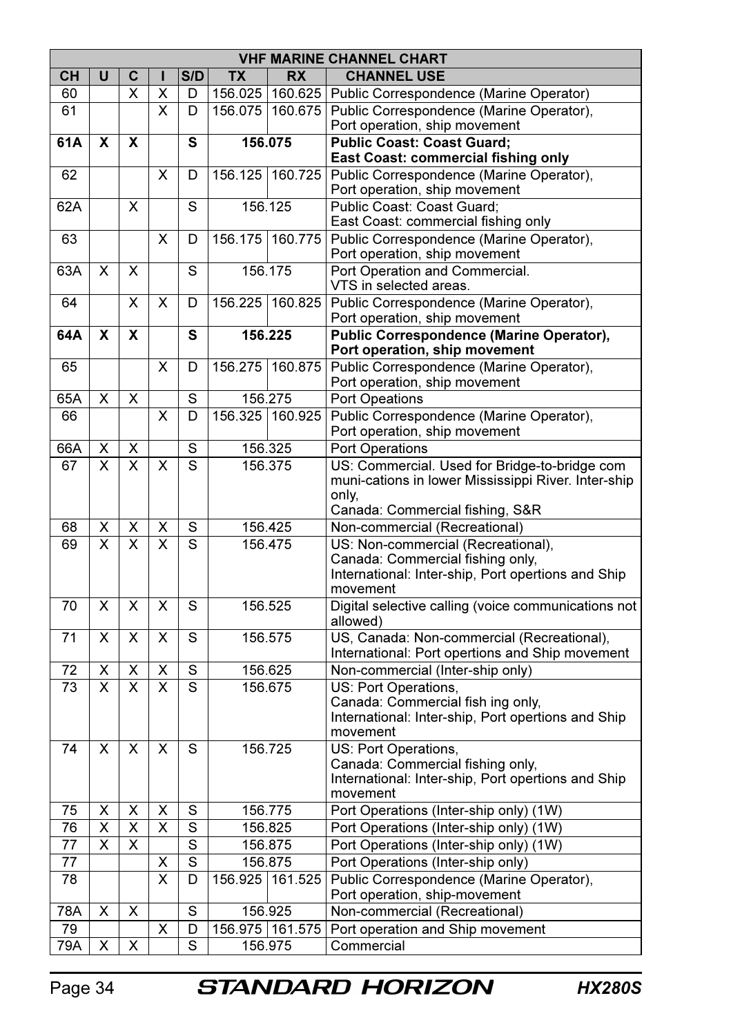|           | <b>VHF MARINE CHANNEL CHART</b> |                         |                         |                         |                 |                   |                                                                           |  |  |  |  |  |  |
|-----------|---------------------------------|-------------------------|-------------------------|-------------------------|-----------------|-------------------|---------------------------------------------------------------------------|--|--|--|--|--|--|
| CН        | U                               | C                       | ı                       | S/D                     | TX              | <b>RX</b>         | <b>CHANNEL USE</b>                                                        |  |  |  |  |  |  |
| 60        |                                 | x                       | Χ                       | D                       | 156.025         | 160.625           | Public Correspondence (Marine Operator)                                   |  |  |  |  |  |  |
| 61        |                                 |                         | x                       | D                       | 156.075         | 160.675           | Public Correspondence (Marine Operator),                                  |  |  |  |  |  |  |
|           |                                 |                         |                         |                         |                 |                   | Port operation, ship movement                                             |  |  |  |  |  |  |
| 61A       | X                               | X                       |                         | S                       | 156.075         |                   | <b>Public Coast: Coast Guard:</b>                                         |  |  |  |  |  |  |
|           |                                 |                         |                         |                         |                 |                   | East Coast: commercial fishing only                                       |  |  |  |  |  |  |
| 62        |                                 |                         | $\overline{\mathsf{x}}$ | D                       |                 | 156.125 160.725   | Public Correspondence (Marine Operator),                                  |  |  |  |  |  |  |
|           |                                 |                         |                         |                         |                 |                   | Port operation, ship movement                                             |  |  |  |  |  |  |
| 62A       |                                 | X                       |                         | S                       |                 | 156.125           | Public Coast: Coast Guard;<br>East Coast: commercial fishing only         |  |  |  |  |  |  |
| 63        |                                 |                         | X                       | D                       |                 | 156.175 160.775   | Public Correspondence (Marine Operator),                                  |  |  |  |  |  |  |
|           |                                 |                         |                         |                         |                 |                   | Port operation, ship movement                                             |  |  |  |  |  |  |
| 63A       | X                               | X                       |                         | S                       |                 | 156.175           | Port Operation and Commercial.                                            |  |  |  |  |  |  |
|           |                                 |                         |                         |                         |                 |                   | VTS in selected areas.                                                    |  |  |  |  |  |  |
| 64        |                                 | X                       | X                       | D                       | 156.225         | 160.825           | Public Correspondence (Marine Operator),                                  |  |  |  |  |  |  |
|           |                                 |                         |                         |                         |                 |                   | Port operation, ship movement                                             |  |  |  |  |  |  |
| 64A       | X                               | X                       |                         | S                       |                 | 156.225           | Public Correspondence (Marine Operator),                                  |  |  |  |  |  |  |
|           |                                 |                         |                         |                         |                 |                   | Port operation, ship movement                                             |  |  |  |  |  |  |
| 65        |                                 |                         | X                       | D                       |                 | 156.275 160.875   | Public Correspondence (Marine Operator),                                  |  |  |  |  |  |  |
|           |                                 |                         |                         | $\overline{\mathsf{s}}$ |                 | 156.275           | Port operation, ship movement                                             |  |  |  |  |  |  |
| 65A<br>66 | X                               | X                       | X                       | D                       |                 |                   | Port Opeations                                                            |  |  |  |  |  |  |
|           |                                 |                         |                         |                         | 156.325 160.925 |                   | Public Correspondence (Marine Operator),<br>Port operation, ship movement |  |  |  |  |  |  |
| 66A       | х                               | x                       |                         | S                       |                 | 156.325           | <b>Port Operations</b>                                                    |  |  |  |  |  |  |
| 67        | X                               | X                       | X                       | S                       | 156.375         |                   | US: Commercial. Used for Bridge-to-bridge com                             |  |  |  |  |  |  |
|           |                                 |                         |                         |                         |                 |                   | muni-cations in lower Mississippi River. Inter-ship                       |  |  |  |  |  |  |
|           |                                 |                         |                         |                         |                 |                   | only.                                                                     |  |  |  |  |  |  |
|           |                                 |                         |                         |                         |                 |                   | Canada: Commercial fishing, S&R                                           |  |  |  |  |  |  |
| 68        | х                               | x                       | Χ                       | S                       |                 | 156.425           | Non-commercial (Recreational)                                             |  |  |  |  |  |  |
| 69        | X                               | X                       | X                       | S                       | 156.475         |                   | US: Non-commercial (Recreational),                                        |  |  |  |  |  |  |
|           |                                 |                         |                         |                         |                 |                   | Canada: Commercial fishing only,                                          |  |  |  |  |  |  |
|           |                                 |                         |                         |                         |                 |                   | International: Inter-ship, Port opertions and Ship<br>movement            |  |  |  |  |  |  |
| 70        | X                               | X                       | $\overline{\mathsf{x}}$ | S                       |                 | 156.525           | Digital selective calling (voice communications not                       |  |  |  |  |  |  |
|           |                                 |                         |                         |                         |                 |                   | allowed)                                                                  |  |  |  |  |  |  |
| 71        | X                               | X                       | X                       | S                       |                 | 156.575           | US, Canada: Non-commercial (Recreational),                                |  |  |  |  |  |  |
|           |                                 |                         |                         |                         |                 |                   | International: Port opertions and Ship movement                           |  |  |  |  |  |  |
| 72        | x                               | Χ                       | Χ                       | S                       |                 | 156.625           | Non-commercial (Inter-ship only)                                          |  |  |  |  |  |  |
| 73        | $\overline{\mathsf{x}}$         | $\overline{\mathsf{x}}$ | $\overline{\mathsf{x}}$ | $\overline{s}$          |                 | 156.675           | US: Port Operations,                                                      |  |  |  |  |  |  |
|           |                                 |                         |                         |                         |                 |                   | Canada: Commercial fish ing only.                                         |  |  |  |  |  |  |
|           |                                 |                         |                         |                         |                 |                   | International: Inter-ship, Port opertions and Ship                        |  |  |  |  |  |  |
| 74        | X                               | x                       | X                       | S                       |                 | 156.725           | movement<br>US: Port Operations,                                          |  |  |  |  |  |  |
|           |                                 |                         |                         |                         |                 |                   | Canada: Commercial fishing only,                                          |  |  |  |  |  |  |
|           |                                 |                         |                         |                         |                 |                   | International: Inter-ship, Port opertions and Ship                        |  |  |  |  |  |  |
|           |                                 |                         |                         |                         |                 |                   | movement                                                                  |  |  |  |  |  |  |
| 75        | X                               | X                       | X                       | S                       |                 | 156.775           | Port Operations (Inter-ship only) (1W)                                    |  |  |  |  |  |  |
| 76        | X                               | x                       | X                       | S                       |                 | 156.825           | Port Operations (Inter-ship only) (1W)                                    |  |  |  |  |  |  |
| 77        | $\overline{\mathsf{x}}$         | $\overline{\mathsf{x}}$ |                         | $\overline{s}$          |                 | 156.875           | Port Operations (Inter-ship only) (1W)                                    |  |  |  |  |  |  |
| 77        |                                 |                         | Χ                       | S                       |                 | 156.875           | Port Operations (Inter-ship only)                                         |  |  |  |  |  |  |
| 78        |                                 |                         | X                       | D                       |                 | 156.925 161.525   | Public Correspondence (Marine Operator),                                  |  |  |  |  |  |  |
|           |                                 |                         |                         |                         |                 |                   | Port operation, ship-movement                                             |  |  |  |  |  |  |
| 78A       | X                               | х                       |                         | S                       |                 | 156.925           | Non-commercial (Recreational)                                             |  |  |  |  |  |  |
| 79        |                                 |                         | x                       | D                       |                 | 156.975   161.575 | Port operation and Ship movement                                          |  |  |  |  |  |  |
| 79A       | X                               | X                       |                         | S                       |                 | 156.975           | Commercial                                                                |  |  |  |  |  |  |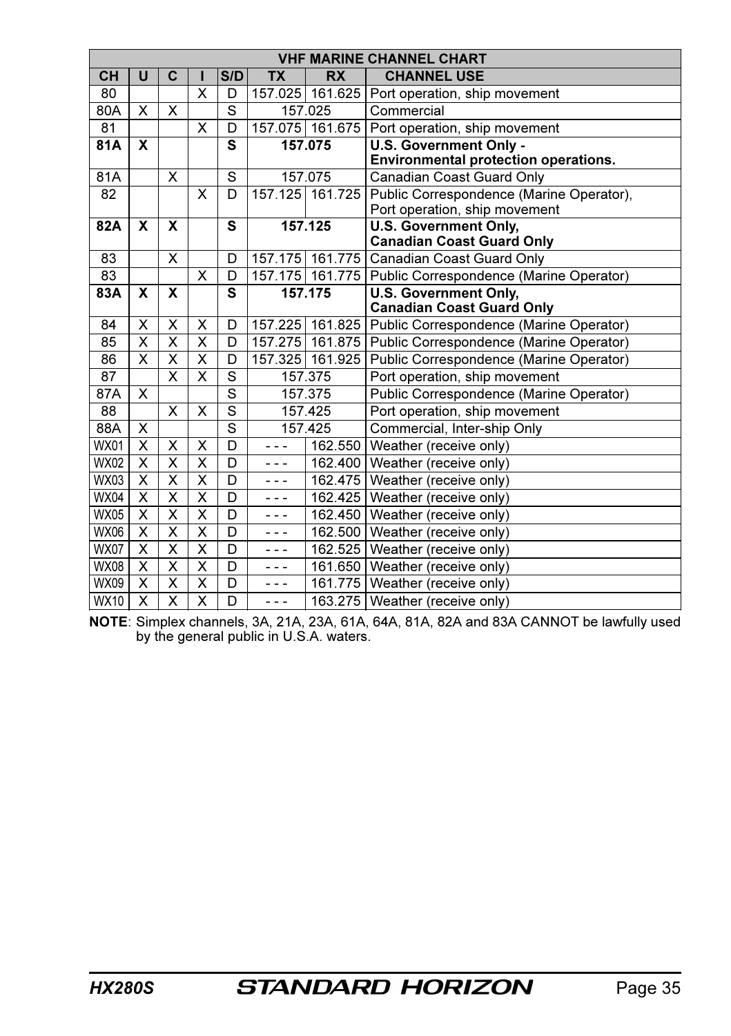| <b>VHF MARINE CHANNEL CHART</b> |                           |                         |                         |                |                    |                 |                                                             |  |  |  |  |  |  |
|---------------------------------|---------------------------|-------------------------|-------------------------|----------------|--------------------|-----------------|-------------------------------------------------------------|--|--|--|--|--|--|
| CН                              | U                         | C                       |                         | S/D            | <b>TX</b>          | <b>RX</b>       | <b>CHANNEL USE</b>                                          |  |  |  |  |  |  |
| 80                              |                           |                         | X                       | D              | 157.025            | 161.625         | Port operation, ship movement                               |  |  |  |  |  |  |
| 80A                             | X                         | X                       |                         | S              |                    | 157.025         | Commercial                                                  |  |  |  |  |  |  |
| 81                              |                           |                         | X                       | D              |                    | 157.075 161.675 | Port operation, ship movement                               |  |  |  |  |  |  |
| 81A                             | X                         |                         |                         | S              |                    | 157.075         | U.S. Government Only -                                      |  |  |  |  |  |  |
|                                 |                           |                         |                         |                |                    |                 | <b>Environmental protection operations.</b>                 |  |  |  |  |  |  |
| 81A                             |                           | X                       |                         | S              |                    | 157.075         | Canadian Coast Guard Only                                   |  |  |  |  |  |  |
| 82                              |                           |                         | X                       | D              | 157.125            | 161.725         | Public Correspondence (Marine Operator),                    |  |  |  |  |  |  |
|                                 |                           |                         |                         |                |                    |                 | Port operation, ship movement                               |  |  |  |  |  |  |
| 82A                             | X                         | X                       |                         | S              |                    | 157.125         | <b>U.S. Government Only,</b>                                |  |  |  |  |  |  |
|                                 |                           |                         |                         |                |                    |                 | <b>Canadian Coast Guard Only</b>                            |  |  |  |  |  |  |
| 83                              |                           | X                       |                         | D              | 157.175            | 161.775         | Canadian Coast Guard Only                                   |  |  |  |  |  |  |
| 83                              |                           |                         | X                       | D              | 161.775<br>157.175 |                 | Public Correspondence (Marine Operator)                     |  |  |  |  |  |  |
| 83A                             | X                         | X                       |                         | S              | 157.175            |                 | <b>U.S. Government Only.</b>                                |  |  |  |  |  |  |
|                                 |                           |                         |                         |                |                    |                 | <b>Canadian Coast Guard Only</b>                            |  |  |  |  |  |  |
| 84                              | x                         | X                       | X                       | D              |                    |                 | 157.225   161.825   Public Correspondence (Marine Operator) |  |  |  |  |  |  |
| 85                              | X                         | X                       | X                       | D              | 157.275<br>161.875 |                 | Public Correspondence (Marine Operator)                     |  |  |  |  |  |  |
| 86                              | X                         | X                       | X                       | D              | 157.325            | 161.925         | Public Correspondence (Marine Operator)                     |  |  |  |  |  |  |
| 87                              |                           | X                       | X                       | S              |                    | 157.375         | Port operation, ship movement                               |  |  |  |  |  |  |
| 87A                             | X                         |                         |                         | $\overline{s}$ |                    | 157.375         | Public Correspondence (Marine Operator)                     |  |  |  |  |  |  |
| 88                              |                           | X                       | X                       | S              |                    | 157.425         | Port operation, ship movement                               |  |  |  |  |  |  |
| 88A                             | X                         |                         |                         | $\overline{s}$ |                    | 157.425         | Commercial, Inter-ship Only                                 |  |  |  |  |  |  |
| <b>WX01</b>                     | X                         | X                       | X                       | D              | - - -              | 162.550         | Weather (receive only)                                      |  |  |  |  |  |  |
| <b>WX02</b>                     | X                         | X                       | X                       | D              | - - -              | 162.400         | Weather (receive only)                                      |  |  |  |  |  |  |
| <b>WX03</b>                     | X                         | $\overline{\mathsf{x}}$ | $\overline{\mathsf{x}}$ | D              | - - -              | 162.475         | Weather (receive only)                                      |  |  |  |  |  |  |
| <b>WX04</b>                     | X                         | $\overline{\mathsf{x}}$ | $\overline{\mathsf{x}}$ | D              | - - -              | 162.425         | Weather (receive only)                                      |  |  |  |  |  |  |
| <b>WX05</b>                     | X                         | X                       | X                       | D              | ---                | 162.450         | Weather (receive only)                                      |  |  |  |  |  |  |
| <b>WX06</b>                     | X                         | $\overline{\mathsf{x}}$ | $\overline{\mathsf{x}}$ | D              | - - -              | 162.500         | Weather (receive only)                                      |  |  |  |  |  |  |
| <b>WX07</b>                     | $\boldsymbol{\mathsf{x}}$ | X                       | $\overline{\mathsf{x}}$ | D              | - - -              | 162.525         | Weather (receive only)                                      |  |  |  |  |  |  |
| <b>WX08</b>                     | X                         | $\overline{\mathsf{x}}$ | $\overline{\mathsf{x}}$ | D              | - - -              | 161.650         | Weather (receive only)                                      |  |  |  |  |  |  |
| <b>WX09</b>                     | X                         | X                       | X                       | D              | - - -              | 161.775         | Weather (receive only)                                      |  |  |  |  |  |  |
| <b>WX10</b>                     | $\overline{\mathsf{x}}$   | $\overline{\mathsf{x}}$ | $\overline{\mathsf{x}}$ | D              | ---                | 163.275         | Weather (receive only)                                      |  |  |  |  |  |  |

NOTE: Simplex channels, 3A, 21A, 23A, 61A, 64A, 81A, 82A and 83A CANNOT be lawfully used by the general public in U.S.A. waters.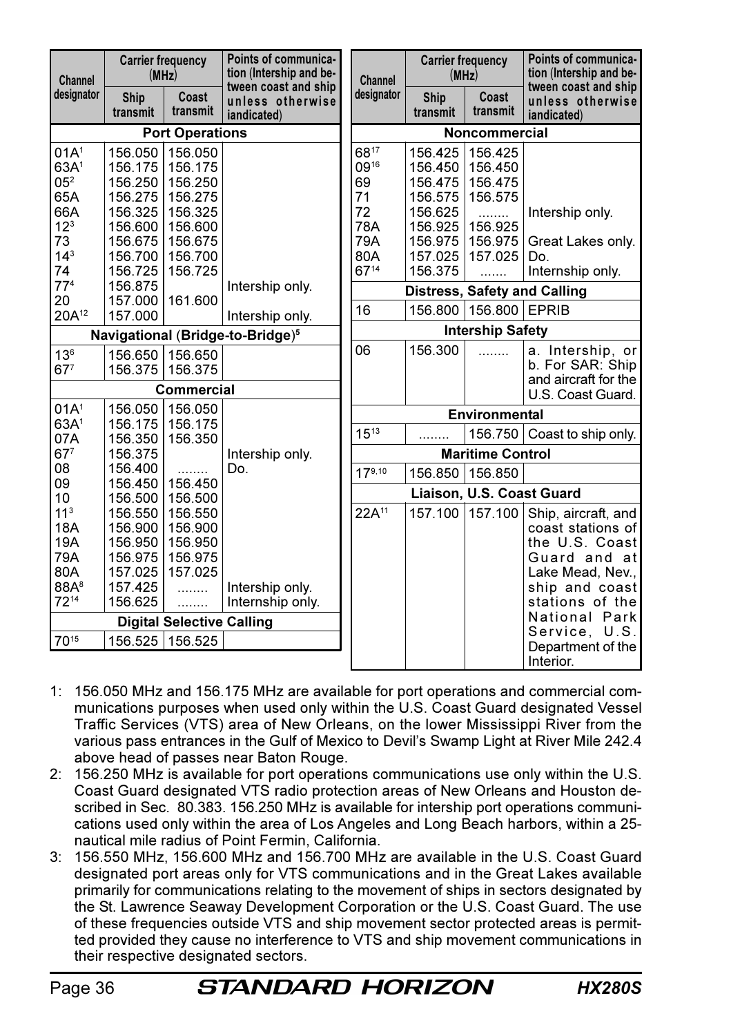| Channel                 | (MHz)              | <b>Carrier frequency</b>         | Points of communica-<br>tion (Intership and be-<br>tween coast and ship | Channel    | <b>Carrier frequency</b><br>(MHz) |                           | Points of communica-<br>tion (Intership and be-<br>tween coast and ship |  |  |  |  |  |
|-------------------------|--------------------|----------------------------------|-------------------------------------------------------------------------|------------|-----------------------------------|---------------------------|-------------------------------------------------------------------------|--|--|--|--|--|
| designator              | Ship<br>transmit   | Coast<br>transmit                | unless otherwise<br>iandicated)                                         | designator | Ship<br>transmit                  | Coast<br>transmit         | unless otherwise<br>iandicated)                                         |  |  |  |  |  |
|                         |                    | <b>Port Operations</b>           |                                                                         |            | <b>Noncommercial</b>              |                           |                                                                         |  |  |  |  |  |
| 01A <sup>1</sup>        | 156.050            | 156.050                          |                                                                         | 6817       | 156.425                           | 156.425                   |                                                                         |  |  |  |  |  |
| 63A <sup>1</sup>        | 156.175            | 156.175                          |                                                                         | 0916       | 156.450                           | 156.450                   |                                                                         |  |  |  |  |  |
| 05 <sup>2</sup>         | 156.250            | 156.250                          |                                                                         | 69         | 156.475                           | 156.475                   |                                                                         |  |  |  |  |  |
| 65A                     | 156.275            | 156.275                          |                                                                         | 71         | 156.575                           | 156.575                   |                                                                         |  |  |  |  |  |
| 66A                     | 156.325            | 156.325                          |                                                                         | 72         | 156.625                           | .                         | Intership only.                                                         |  |  |  |  |  |
| $12^{3}$                | 156.600            | 156.600                          |                                                                         | 78A        | 156.925                           | 156.925                   |                                                                         |  |  |  |  |  |
| 73                      | 156.675            | 156.675                          |                                                                         | 79A        | 156.975                           | 156.975                   | Great Lakes only.                                                       |  |  |  |  |  |
| $14^{3}$                | 156.700            | 156.700                          |                                                                         | 80A        | 157.025                           | 157.025                   | Do.                                                                     |  |  |  |  |  |
| 74                      | 156.725            | 156.725                          |                                                                         | 6714       | 156.375                           | .                         | Internship only.                                                        |  |  |  |  |  |
| 77 <sup>4</sup><br>20   | 156.875<br>157.000 | 161.600                          | Intership only.                                                         |            |                                   |                           | <b>Distress, Safety and Calling</b>                                     |  |  |  |  |  |
| 20A <sup>12</sup>       | 157.000            |                                  | Intership only.                                                         | 16         | 156.800                           | 156,800 EPRIB             |                                                                         |  |  |  |  |  |
|                         |                    |                                  | Navigational (Bridge-to-Bridge) <sup>5</sup>                            |            |                                   | <b>Intership Safety</b>   |                                                                         |  |  |  |  |  |
| $13^{6}$<br>$67^{7}$    | 156.650<br>156.375 | 156.650<br>156.375               |                                                                         | 06         | 156.300                           | .                         | a. Intership, or<br>b. For SAR: Ship<br>and aircraft for the            |  |  |  |  |  |
|                         |                    | Commercial                       |                                                                         |            |                                   |                           | U.S. Coast Guard.                                                       |  |  |  |  |  |
| 01A <sup>1</sup>        | 156.050            | 156.050                          |                                                                         |            |                                   | <b>Environmental</b>      |                                                                         |  |  |  |  |  |
| 63A <sup>1</sup><br>07A | 156.175<br>156.350 | 156.175<br>156.350               |                                                                         | $15^{13}$  | .                                 | 156.750                   | Coast to ship only.                                                     |  |  |  |  |  |
| 67 <sup>7</sup>         | 156.375            |                                  | Intership only.                                                         |            |                                   | <b>Maritime Control</b>   |                                                                         |  |  |  |  |  |
| 08                      | 156.400<br>156.450 | .                                | Do.                                                                     | 179,10     | 156.850                           | 156,850                   |                                                                         |  |  |  |  |  |
| 09<br>10                | 156.500            | 156.450<br>156.500               |                                                                         |            |                                   | Liaison, U.S. Coast Guard |                                                                         |  |  |  |  |  |
| 11 <sup>3</sup>         | 156.550            | 156.550                          |                                                                         | $22A^{11}$ | 157.100                           | 157.100                   | Ship, aircraft, and                                                     |  |  |  |  |  |
| <b>18A</b>              | 156,900            | 156.900                          |                                                                         |            |                                   |                           | coast stations of                                                       |  |  |  |  |  |
| 19A                     | 156.950            | 156.950                          |                                                                         |            |                                   |                           | the U.S. Coast                                                          |  |  |  |  |  |
| 79A                     | 156.975            | 156.975                          |                                                                         |            |                                   |                           | Guard and at                                                            |  |  |  |  |  |
| 80A                     | 157.025            | 157.025                          |                                                                         |            |                                   |                           | Lake Mead, Nev.,                                                        |  |  |  |  |  |
| 88A <sup>8</sup>        | 157.425            | .                                | Intership only.                                                         |            |                                   |                           | ship and coast                                                          |  |  |  |  |  |
| $72^{14}$               | 156.625            | .                                | Internship only.                                                        |            |                                   |                           | stations of the                                                         |  |  |  |  |  |
|                         |                    | <b>Digital Selective Calling</b> |                                                                         |            |                                   |                           | <b>National Park</b>                                                    |  |  |  |  |  |
| 7015                    | 156.525            | 156.525                          |                                                                         |            |                                   |                           | Service, U.S.<br>Department of the                                      |  |  |  |  |  |
|                         |                    |                                  |                                                                         |            |                                   |                           | Interior.                                                               |  |  |  |  |  |

- 1: 156.050 MHz and 156.175 MHz are available for port operations and commercial communications purposes when used only within the U.S. Coast Guard designated Vessel Traffic Services (VTS) area of New Orleans, on the lower Mississippi River from the various pass entrances in the Gulf of Mexico to Devil's Swamp Light at River Mile 242.4 above head of passes near Baton Rouge.
- 2: 156.250 MHz is available for port operations communications use only within the U.S. Coast Guard designated VTS radio protection areas of New Orleans and Houston described in Sec. 80.383. 156.250 MHz is available for intership port operations communications used only within the area of Los Angeles and Long Beach harbors, within a 25 nautical mile radius of Point Fermin, California.
- 3: 156.550 MHz, 156.600 MHz and 156.700 MHz are available in the U.S. Coast Guard designated port areas only for VTS communications and in the Great Lakes available primarily for communications relating to the movement of ships in sectors designated by the St. Lawrence Seaway Development Corporation or the U.S. Coast Guard. The use of these frequencies outside VTS and ship movement sector protected areas is permitted provided they cause no interference to VTS and ship movement communications in their respective designated sectors.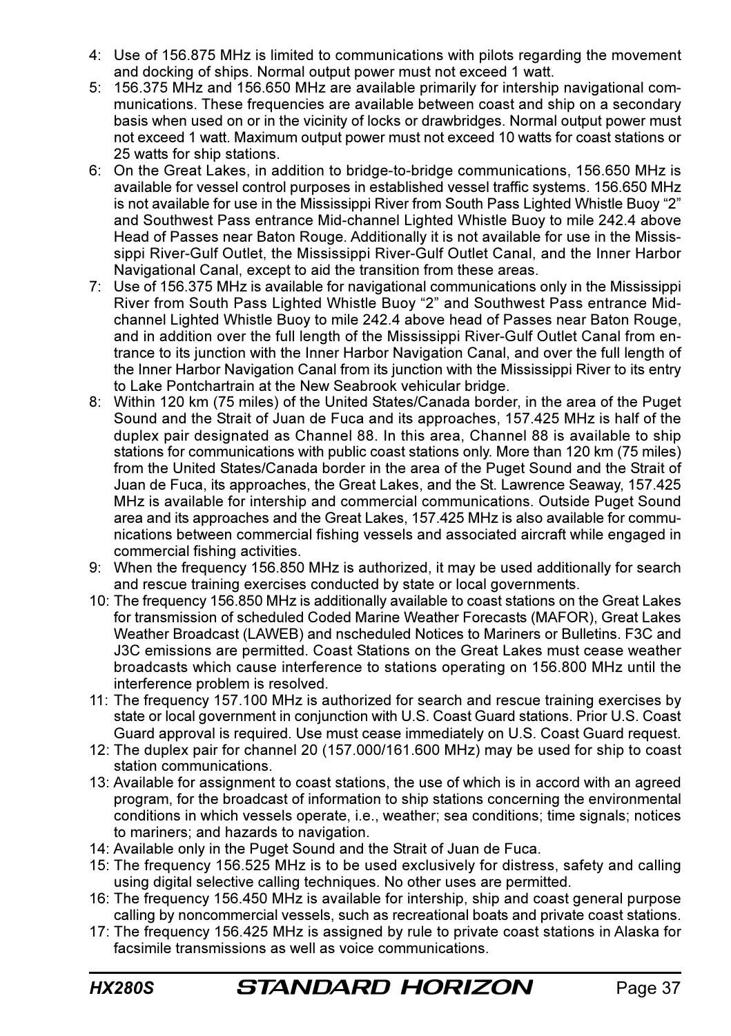- 4: Use of 156.875 MHz is limited to communications with pilots regarding the movement and docking of ships. Normal output power must not exceed 1 watt.
- 5: 156.375 MHz and 156.650 MHz are available primarily for intership navigational communications. These frequencies are available between coast and ship on a secondary basis when used on or in the vicinity of locks or drawbridges. Normal output power must not exceed 1 watt. Maximum output power must not exceed 10 watts for coast stations or 25 watts for ship stations.
- 6: On the Great Lakes, in addition to bridge-to-bridge communications, 156.650 MHz is available for vessel control purposes in established vessel traffic systems. 156.650 MHz is not available for use in the Mississippi River from South Pass Lighted Whistle Buoy "2" and Southwest Pass entrance Mid-channel Lighted Whistle Buoy to mile 242.4 above Head of Passes near Baton Rouge. Additionally it is not available for use in the Mississippi River-Gulf Outlet, the Mississippi River-Gulf Outlet Canal, and the Inner Harbor Navigational Canal, except to aid the transition from these areas.
- 7: Use of 156.375 MHz is available for navigational communications only in the Mississippi River from South Pass Lighted Whistle Buoy "2" and Southwest Pass entrance Midchannel Lighted Whistle Buoy to mile 242.4 above head of Passes near Baton Rouge, and in addition over the full length of the Mississippi River-Gulf Outlet Canal from entrance to its junction with the Inner Harbor Navigation Canal, and over the full length of the Inner Harbor Navigation Canal from its junction with the Mississippi River to its entry to Lake Pontchartrain at the New Seabrook vehicular bridge.
- 8: Within 120 km (75 miles) of the United States/Canada border, in the area of the Puget Sound and the Strait of Juan de Fuca and its approaches, 157.425 MHz is half of the duplex pair designated as Channel 88. In this area, Channel 88 is available to ship stations for communications with public coast stations only. More than 120 km (75 miles) from the United States/Canada border in the area of the Puget Sound and the Strait of Juan de Fuca, its approaches, the Great Lakes, and the St. Lawrence Seaway, 157.425 MHz is available for intership and commercial communications. Outside Puget Sound area and its approaches and the Great Lakes, 157.425 MHz is also available for communications between commercial fishing vessels and associated aircraft while engaged in commercial fishing activities.
- 9: When the frequency 156.850 MHz is authorized, it may be used additionally for search and rescue training exercises conducted by state or local governments.
- 10: The frequency 156.850 MHz is additionally available to coast stations on the Great Lakes for transmission of scheduled Coded Marine Weather Forecasts (MAFOR), Great Lakes Weather Broadcast (LAWEB) and nscheduled Notices to Mariners or Bulletins. F3C and J3C emissions are permitted. Coast Stations on the Great Lakes must cease weather broadcasts which cause interference to stations operating on 156.800 MHz until the interference problem is resolved.
- 11: The frequency 157.100 MHz is authorized for search and rescue training exercises by state or local government in conjunction with U.S. Coast Guard stations. Prior U.S. Coast Guard approval is required. Use must cease immediately on U.S. Coast Guard request.
- 12: The duplex pair for channel 20 (157.000/161.600 MHz) may be used for ship to coast station communications.
- 13: Available for assignment to coast stations, the use of which is in accord with an agreed program, for the broadcast of information to ship stations concerning the environmental conditions in which vessels operate, i.e., weather; sea conditions; time signals; notices to mariners; and hazards to navigation.
- 14: Available only in the Puget Sound and the Strait of Juan de Fuca.
- 15: The frequency 156.525 MHz is to be used exclusively for distress, safety and calling using digital selective calling techniques. No other uses are permitted.
- 16: The frequency 156.450 MHz is available for intership, ship and coast general purpose calling by noncommercial vessels, such as recreational boats and private coast stations.
- 17: The frequency 156.425 MHz is assigned by rule to private coast stations in Alaska for facsimile transmissions as well as voice communications.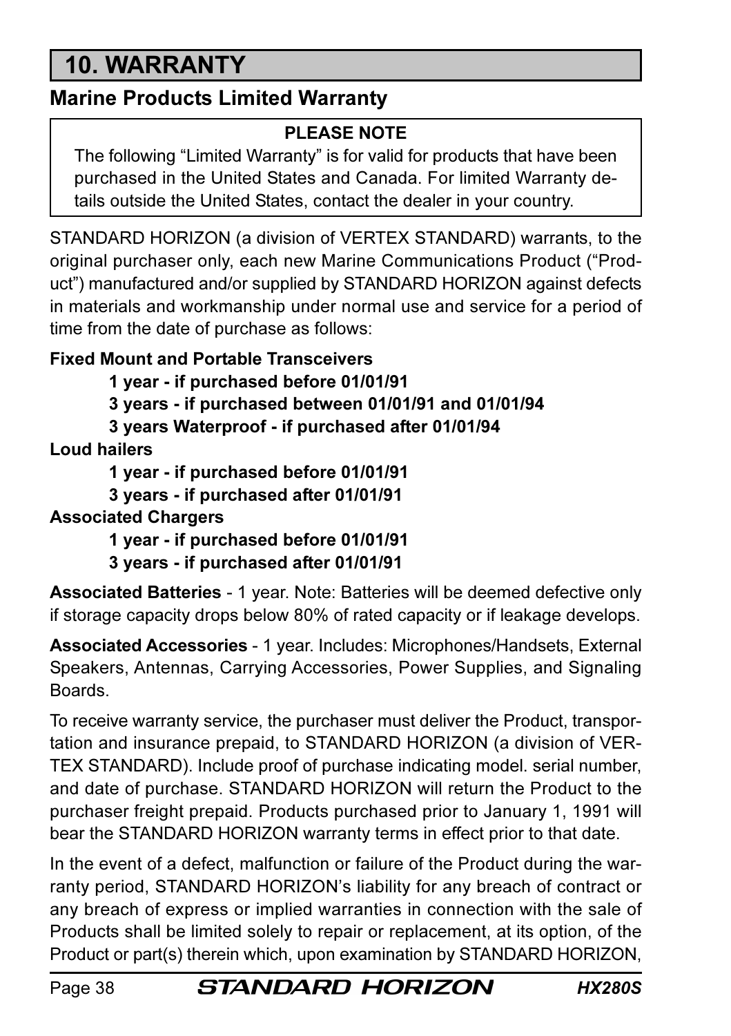# 10. WARRANTY

## Marine Products Limited Warranty

## PLEASE NOTE

The following "Limited Warranty" is for valid for products that have been purchased in the United States and Canada. For limited Warranty details outside the United States, contact the dealer in your country.

STANDARD HORIZON (a division of VERTEX STANDARD) warrants, to the original purchaser only, each new Marine Communications Product ("Product") manufactured and/or supplied by STANDARD HORIZON against defects in materials and workmanship under normal use and service for a period of time from the date of purchase as follows:

## Fixed Mount and Portable Transceivers

1 year - if purchased before 01/01/91

3 years - if purchased between 01/01/91 and 01/01/94

3 years Waterproof - if purchased after 01/01/94

Loud hailers

1 year - if purchased before 01/01/91

3 years - if purchased after 01/01/91

#### Associated Chargers

1 year - if purchased before 01/01/91

3 years - if purchased after 01/01/91

Associated Batteries - 1 year. Note: Batteries will be deemed defective only if storage capacity drops below 80% of rated capacity or if leakage develops.

Associated Accessories - 1 year. Includes: Microphones/Handsets, External Speakers, Antennas, Carrying Accessories, Power Supplies, and Signaling Boards.

To receive warranty service, the purchaser must deliver the Product, transportation and insurance prepaid, to STANDARD HORIZON (a division of VER-TEX STANDARD). Include proof of purchase indicating model. serial number, and date of purchase. STANDARD HORIZON will return the Product to the purchaser freight prepaid. Products purchased prior to January 1, 1991 will bear the STANDARD HORIZON warranty terms in effect prior to that date.

In the event of a defect, malfunction or failure of the Product during the warranty period, STANDARD HORIZON's liability for any breach of contract or any breach of express or implied warranties in connection with the sale of Products shall be limited solely to repair or replacement, at its option, of the Product or part(s) therein which, upon examination by STANDARD HORIZON,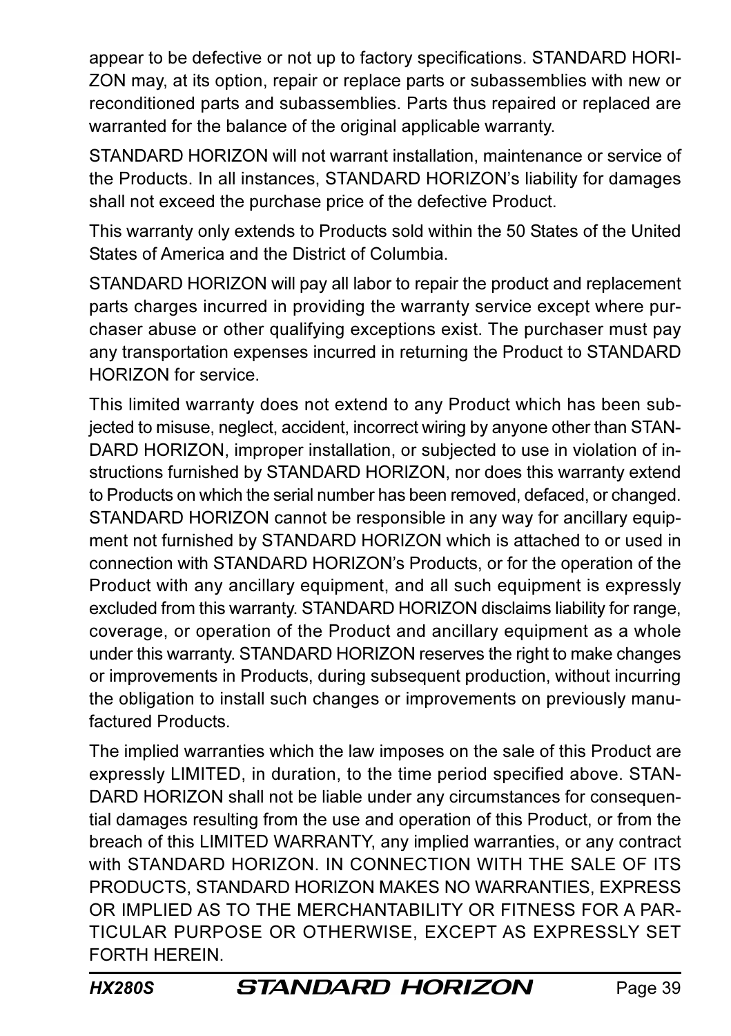appear to be defective or not up to factory specifications. STANDARD HORI-ZON may, at its option, repair or replace parts or subassemblies with new or reconditioned parts and subassemblies. Parts thus repaired or replaced are warranted for the balance of the original applicable warranty.

STANDARD HORIZON will not warrant installation, maintenance or service of the Products. In all instances, STANDARD HORIZON's liability for damages shall not exceed the purchase price of the defective Product.

This warranty only extends to Products sold within the 50 States of the United States of America and the District of Columbia.

STANDARD HORIZON will pay all labor to repair the product and replacement parts charges incurred in providing the warranty service except where purchaser abuse or other qualifying exceptions exist. The purchaser must pay any transportation expenses incurred in returning the Product to STANDARD HORIZON for service.

This limited warranty does not extend to any Product which has been subjected to misuse, neglect, accident, incorrect wiring by anyone other than STAN-DARD HORIZON, improper installation, or subjected to use in violation of instructions furnished by STANDARD HORIZON, nor does this warranty extend to Products on which the serial number has been removed, defaced, or changed. STANDARD HORIZON cannot be responsible in any way for ancillary equipment not furnished by STANDARD HORIZON which is attached to or used in connection with STANDARD HORIZON's Products, or for the operation of the Product with any ancillary equipment, and all such equipment is expressly excluded from this warranty. STANDARD HORIZON disclaims liability for range, coverage, or operation of the Product and ancillary equipment as a whole under this warranty. STANDARD HORIZON reserves the right to make changes or improvements in Products, during subsequent production, without incurring the obligation to install such changes or improvements on previously manufactured Products.

The implied warranties which the law imposes on the sale of this Product are expressly LIMITED, in duration, to the time period specified above. STAN-DARD HORIZON shall not be liable under any circumstances for consequential damages resulting from the use and operation of this Product, or from the breach of this LIMITED WARRANTY, any implied warranties, or any contract with STANDARD HORIZON. IN CONNECTION WITH THE SALE OF ITS PRODUCTS, STANDARD HORIZON MAKES NO WARRANTIES, EXPRESS OR IMPLIED AS TO THE MERCHANTABILITY OR FITNESS FOR A PAR-TICULAR PURPOSE OR OTHERWISE, EXCEPT AS EXPRESSLY SET FORTH HEREIN.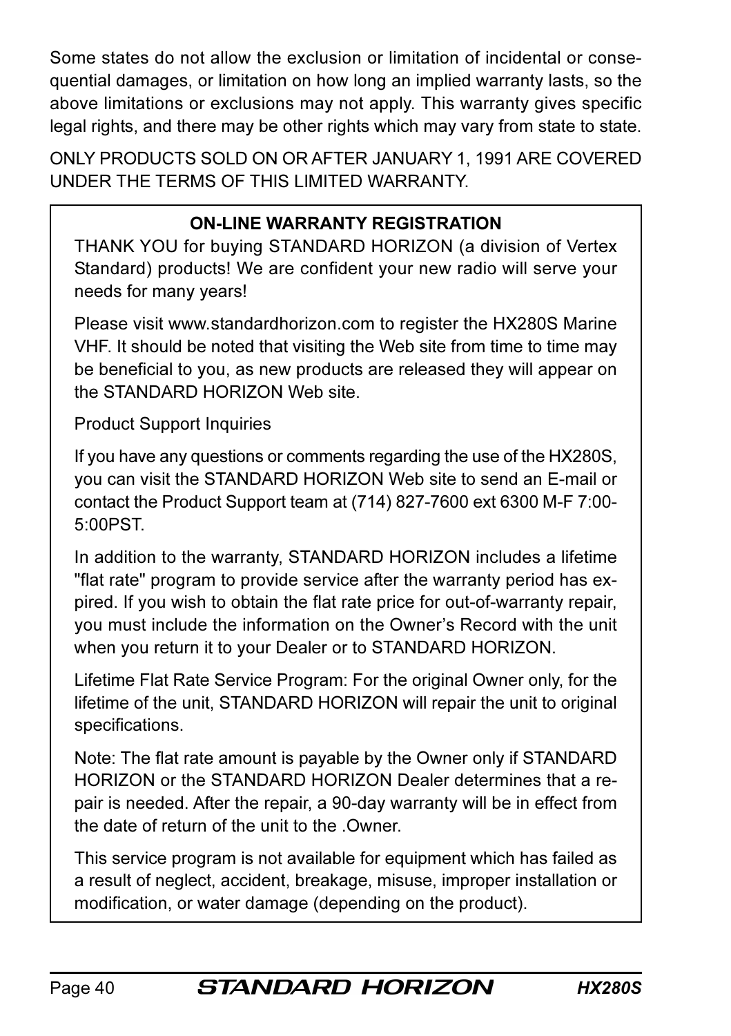Some states do not allow the exclusion or limitation of incidental or consequential damages, or limitation on how long an implied warranty lasts, so the above limitations or exclusions may not apply. This warranty gives specific legal rights, and there may be other rights which may vary from state to state.

ONLY PRODUCTS SOLD ON OR AFTER JANUARY 1, 1991 ARE COVERED UNDER THE TERMS OF THIS LIMITED WARRANTY.

## ON-LINE WARRANTY REGISTRATION

THANK YOU for buying STANDARD HORIZON (a division of Vertex Standard) products! We are confident your new radio will serve your needs for many years!

Please visit www.standardhorizon.com to register the HX280S Marine VHF. It should be noted that visiting the Web site from time to time may be beneficial to you, as new products are released they will appear on the STANDARD HORIZON Web site.

Product Support Inquiries

If you have any questions or comments regarding the use of the HX280S, you can visit the STANDARD HORIZON Web site to send an E-mail or contact the Product Support team at (714) 827-7600 ext 6300 M-F 7:00- 5:00PST.

In addition to the warranty, STANDARD HORIZON includes a lifetime "flat rate" program to provide service after the warranty period has expired. If you wish to obtain the flat rate price for out-of-warranty repair, you must include the information on the Owner's Record with the unit when you return it to your Dealer or to STANDARD HORIZON.

Lifetime Flat Rate Service Program: For the original Owner only, for the lifetime of the unit, STANDARD HORIZON will repair the unit to original specifications.

Note: The flat rate amount is payable by the Owner only if STANDARD HORIZON or the STANDARD HORIZON Dealer determines that a repair is needed. After the repair, a 90-day warranty will be in effect from the date of return of the unit to the .Owner.

This service program is not available for equipment which has failed as a result of neglect, accident, breakage, misuse, improper installation or modification, or water damage (depending on the product).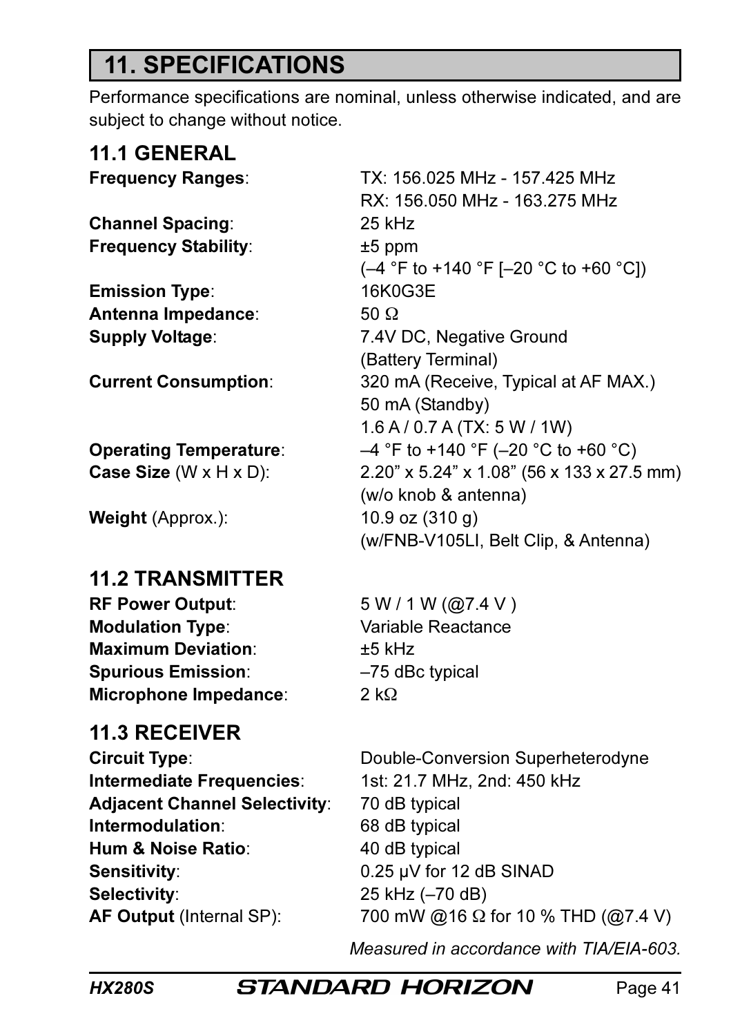# 11. SPECIFICATIONS

Performance specifications are nominal, unless otherwise indicated, and are subject to change without notice.

| <b>11.1 GENERAL</b>           |                                     |
|-------------------------------|-------------------------------------|
| <b>Frequency Ranges:</b>      | TX: 156.025 MHz - 157.425 MHz       |
|                               | RX: 156.050 MHz - 163.275 MHz       |
| <b>Channel Spacing:</b>       | 25 kHz                              |
| <b>Frequency Stability:</b>   | $±5$ ppm                            |
|                               | (–4 °F to +140 °F [–20 °C to +60    |
| <b>Emission Type:</b>         | 16K0G3E                             |
| Antenna Impedance:            | 50 $\Omega$                         |
| <b>Supply Voltage:</b>        | 7.4V DC, Negative Ground            |
|                               | (Battery Terminal)                  |
| <b>Current Consumption:</b>   | 320 mA (Receive, Typical at AF M    |
|                               | 50 mA (Standby)                     |
|                               | $1.6$ A / 0.7 A (TX: 5 W / 1W)      |
| <b>Operating Temperature:</b> | -4 °F to +140 °F (-20 °C to +60 °   |
| Case Size (W x H x D):        | 2.20" x 5.24" x 1.08" (56 x 133 x 2 |
|                               | (w/o knob & antenna)                |
| Weight (Approx.):             | 10.9 oz $(310 g)$                   |
|                               | (w/FNB-V105LI, Belt Clip, & Anter   |
| <b>11.2 TRANSMITTER</b>       |                                     |
| <b>RF Power Output:</b>       | 5 W / 1 W (Q7.4 V)                  |

**Modulation Type:** Variable Reactance Maximum Deviation: +5 kHz Spurious Emission: –75 dBc typical Microphone Impedance: 2 kΩ

## 11.3 RECEIVER

Intermediate Frequencies: 1st: 21.7 MHz, 2nd: 450 kHz Adjacent Channel Selectivity: 70 dB typical Intermodulation: 68 dB typical Hum & Noise Ratio: 40 dB typical Sensitivity: 0.25 uV for 12 dB SINAD Selectivity: 25 kHz (-70 dB)

RX: 156.050 MHz - 163.275 MHz (–4 °F to +140 °F [–20 °C to +60 °C]) (Battery Terminal) Current Consumption: 320 mA (Receive, Typical at AF MAX.) 50 mA (Standby) 1.6 A / 0.7 A (TX: 5 W / 1W) **Operating Temperature:**  $-4 \degree F$  to +140  $\degree F$  (-20  $\degree C$  to +60  $\degree C$ ) Case Size (W x H x D): 2.20" x 5.24" x 1.08" (56 x 133 x 27.5 mm) (w/o knob & antenna) (w/FNB-V105LI, Belt Clip, & Antenna)

Circuit Type: Double-Conversion Superheterodyne **AF Output** (Internal SP):  $700 \text{ mW}$  @16  $\Omega$  for 10 % THD (@7.4 V)

Measured in accordance with TIA/EIA-603.

HX280S **STANDARD HORIZON** Page 41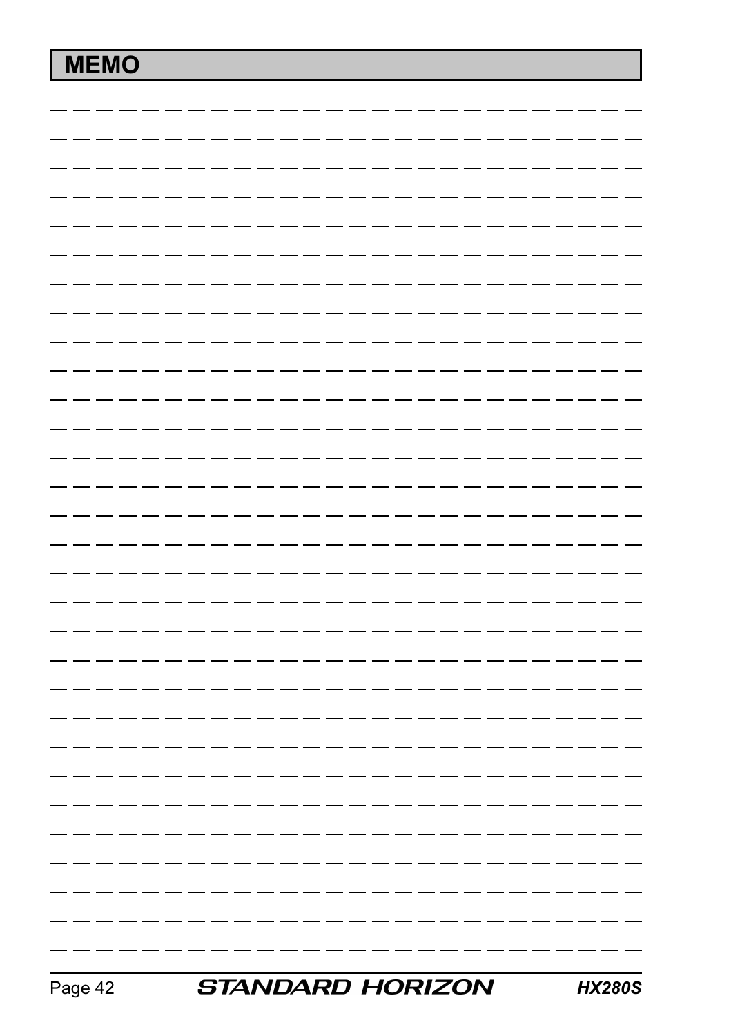# MEMO

|  |  |  |  |  |  | - - | - - | - - |  |  |  |  |  |
|--|--|--|--|--|--|-----|-----|-----|--|--|--|--|--|
|  |  |  |  |  |  |     |     |     |  |  |  |  |  |
|  |  |  |  |  |  |     |     |     |  |  |  |  |  |
|  |  |  |  |  |  |     |     |     |  |  |  |  |  |
|  |  |  |  |  |  |     |     |     |  |  |  |  |  |
|  |  |  |  |  |  |     |     |     |  |  |  |  |  |
|  |  |  |  |  |  |     |     |     |  |  |  |  |  |
|  |  |  |  |  |  |     |     |     |  |  |  |  |  |
|  |  |  |  |  |  |     |     |     |  |  |  |  |  |
|  |  |  |  |  |  |     |     |     |  |  |  |  |  |
|  |  |  |  |  |  |     |     |     |  |  |  |  |  |
|  |  |  |  |  |  |     |     |     |  |  |  |  |  |
|  |  |  |  |  |  |     |     |     |  |  |  |  |  |
|  |  |  |  |  |  |     |     |     |  |  |  |  |  |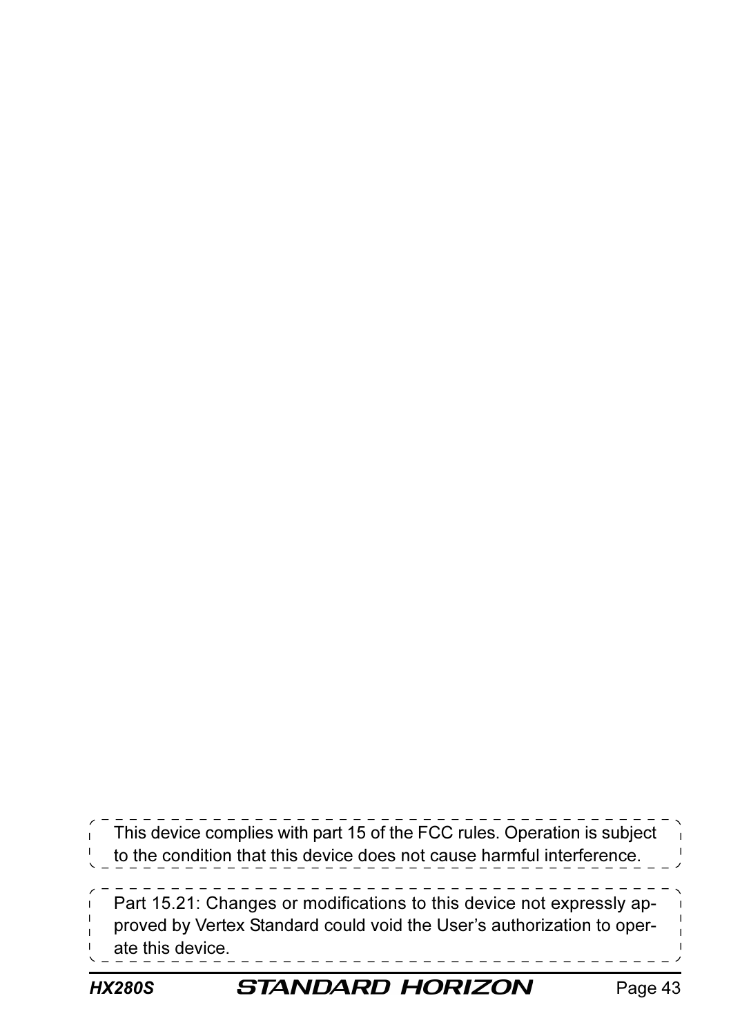This device complies with part 15 of the FCC rules. Operation is subject to the condition that this device does not cause harmful interference. Part 15.21: Changes or modifications to this device not expressly approved by Vertex Standard could void the User's authorization to operate this device.

## HX280S **STANDARD HORIZON** Page 43